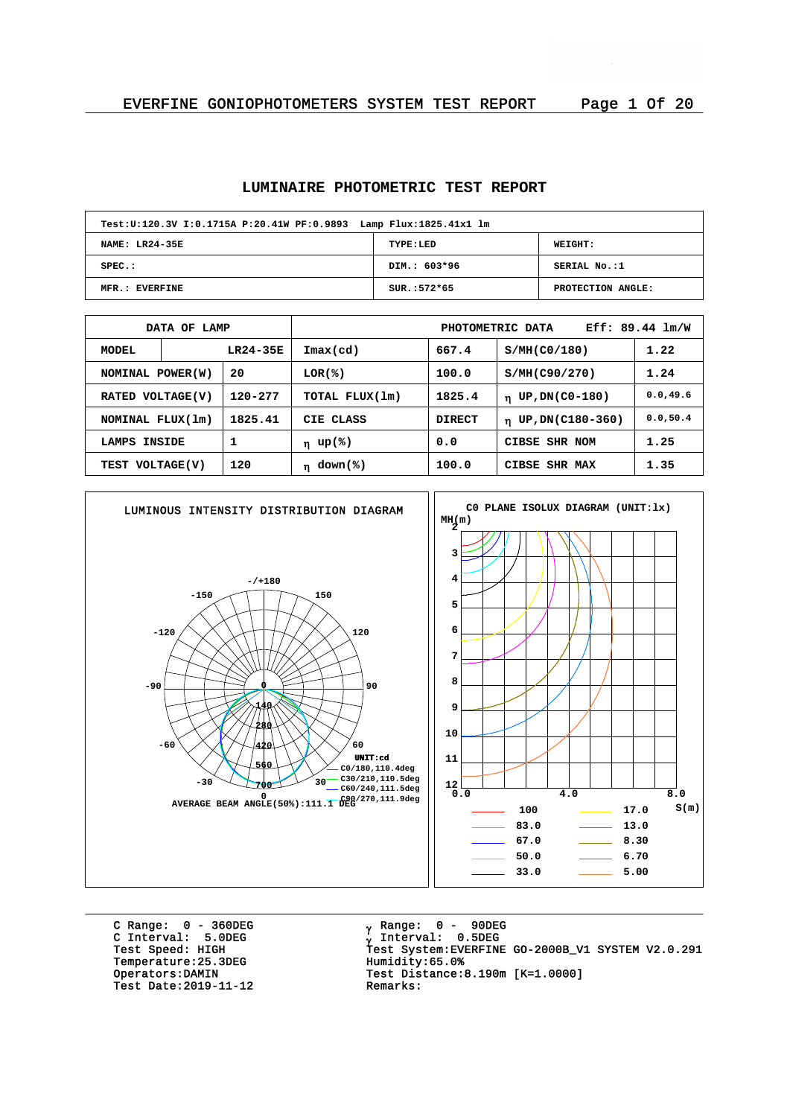## **LUMINAIRE PHOTOMETRIC TEST REPORT**

| Test: U:120.3V I:0.1715A P:20.41W PF:0.9893 Lamp Flux: 1825.41x1 lm |               |                   |  |  |  |  |  |  |  |
|---------------------------------------------------------------------|---------------|-------------------|--|--|--|--|--|--|--|
| NAME: LR24-35E<br><b>WEIGHT:</b><br>TYPE:LED                        |               |                   |  |  |  |  |  |  |  |
| $SPEC.$ :                                                           | DIM.: 603*96  | SERIAL No.:1      |  |  |  |  |  |  |  |
| MFR.: EVERFINE                                                      | $SUR.:572*65$ | PROTECTION ANGLE: |  |  |  |  |  |  |  |

| DATA OF LAMP                |            |                | $Eff: 89.44$ $lm/W$<br>PHOTOMETRIC DATA |               |                                 |           |  |  |  |
|-----------------------------|------------|----------------|-----------------------------------------|---------------|---------------------------------|-----------|--|--|--|
| MODEL                       | $LR24-35E$ |                | $\texttt{Imax}(\text{cd})$              |               | S/MH(C0/180)                    | 1.22      |  |  |  |
| 20<br>NOMINAL POWER(W)      |            | LOR(%)         | 100.0                                   | S/MH(C90/270) | 1.24                            |           |  |  |  |
| 120-277<br>RATED VOLTAGE(V) |            | TOTAL FLUX(1m) | 1825.4<br>UP, DN(C0-180)<br>$\mathbf n$ |               | 0.0, 49.6                       |           |  |  |  |
| NOMINAL FLUX(1m)            |            | 1825.41        | CIE CLASS                               | <b>DIRECT</b> | UP, DN(C180-360)<br>$\mathbf n$ | 0.0, 50.4 |  |  |  |
| LAMPS                       | INSIDE     |                | η up(%)                                 | 0.0           | CIBSE SHR NOM                   | 1.25      |  |  |  |
| TEST VOLTAGE(V)             |            | 120            | $\eta$ down(%)                          | 100.0         | CIBSE SHR MAX                   | 1.35      |  |  |  |



C Range: 0 - 360DEG C Interval: 5.0DEG Temperature: 25.3DEG<br>Operators: DAMIN Test Date: 2019-11-12

<sub>v</sub> Range: 0 – 90DEG y Range: 0 – 90DE<br><sub>V</sub> Interval: 0.5DEG University<br>Test Speed: HIGH Test System:EVERFINE GO-2000B\_V1 SYSTEM V2.0.291<br>Temperature:25.3DEG Humidity:65.0% Test Distance:8.190m [K=1.0000]<br>Remarks: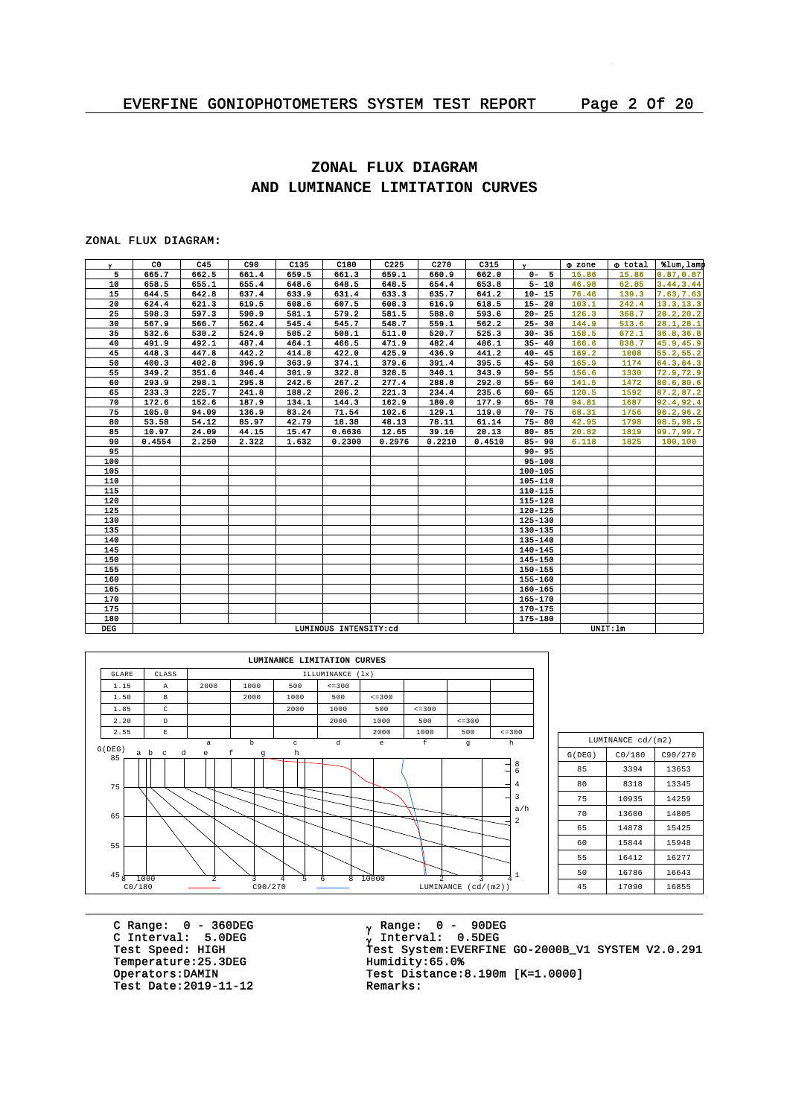# **ZONAL FLUX DIAGRAM AND LUMINANCE LIMITATION CURVES**

#### ZONAL FLUX DIAGRAM:

| $\mathbf{v}$ | CO.    | C45   | C90   | C135  | C180                  | C225   | C270   | C315   | $\mathbf{v}$ | <b>O</b> zone | o total  | tlum, lamp |
|--------------|--------|-------|-------|-------|-----------------------|--------|--------|--------|--------------|---------------|----------|------------|
| 5            | 665.7  | 662.5 | 661.4 | 659.5 | 661.3                 | 659.1  | 660.9  | 662.0  | $0 - 5$      | 15.86         | 15.86    | 0.87, 0.87 |
| 10           | 658.5  | 655.1 | 655.4 | 648.6 | 648.5                 | 648.5  | 654.4  | 653.8  | $5 - 10$     | 46.98         | 62.85    | 3.44, 3.44 |
| 15           | 644.5  | 642.8 | 637.4 | 633.9 | 631.4                 | 633.3  | 635.7  | 641.2  | $10 - 15$    | 76.46         | 139.3    | 7.63, 7.63 |
| 20           | 624.4  | 621.3 | 619.5 | 608.6 | 607.5                 | 608.3  | 616.9  | 618.5  | $15 - 20$    | 103.1         | 242.4    | 13.3, 13.3 |
| 25           | 598.3  | 597.3 | 590.9 | 581.1 | 579.2                 | 581.5  | 588.0  | 593.6  | $20 - 25$    | 126.3         | 368.7    | 20.2, 20.2 |
| 30           | 567.9  | 566.7 | 562.4 | 545.4 | 545.7                 | 548.7  | 559.1  | 562.2  | $25 - 30$    | 144.9         | 513.6    | 28.1, 28.1 |
| 35           | 532.6  | 530.2 | 524.9 | 505.2 | 508.1                 | 511.0  | 520.7  | 525.3  | $30 - 35$    | 158.5         | 672.1    | 36.8,36.8  |
| 40           | 491.9  | 492.1 | 487.4 | 464.1 | 466.5                 | 471.9  | 482.4  | 486.1  | $35 - 40$    | 166.6         | 838.7    | 45.9, 45.9 |
| 45           | 448.3  | 447.8 | 442.2 | 414.8 | 422.0                 | 425.9  | 436.9  | 441.2  | $40 - 45$    | 169.2         | 1008     | 55.2, 55.2 |
| 50           | 400.3  | 402.8 | 396.9 | 363.9 | 374.1                 | 379.6  | 391.4  | 395.5  | $45 - 50$    | 165.9         | 1174     | 64.3, 64.3 |
| 55           | 349.2  | 351.6 | 346.4 | 301.9 | 322.8                 | 328.5  | 340.1  | 343.9  | $50 - 55$    | 156.6         | 1330     | 72.9,72.9  |
| 60           | 293.9  | 298.1 | 295.8 | 242.6 | 267.2                 | 277.4  | 288.8  | 292.0  | $55 - 60$    | 141.5         | 1472     | 80.6,80.6  |
| 65           | 233.3  | 225.7 | 241.8 | 188.2 | 206.2                 | 221.3  | 234.4  | 235.6  | $60 - 65$    | 120.5         | 1592     | 87.2, 87.2 |
| 70           | 172.6  | 152.6 | 187.9 | 134.1 | 144.3                 | 162.9  | 180.0  | 177.9  | $65 - 70$    | 94.81         | 1687     | 92.4,92.4  |
| 75           | 105.0  | 94.09 | 136.9 | 83.24 | 71.54                 | 102.6  | 129.1  | 119.0  | $70 - 75$    | 68.31         | 1756     | 96.2,96.2  |
| 80           | 53.58  | 54.12 | 85.97 | 42.79 | 18.38                 | 48.13  | 78.11  | 61.14  | $75 - 80$    | 42.95         | 1798     | 98.5,98.5  |
| 85           | 10.97  | 24.09 | 44.15 | 15.47 | 0.6636                | 12.65  | 39.16  | 20.13  | $80 - 85$    | 20.82         | 1819     | 99.7, 99.7 |
| 90           | 0.4554 | 2.250 | 2.322 | 1.632 | 0.2300                | 0.2976 | 0.2210 | 0.4510 | $85 - 90$    | 6.118         | 1825     | 100,100    |
| 95           |        |       |       |       |                       |        |        |        | $90 - 95$    |               |          |            |
| 100          |        |       |       |       |                       |        |        |        | $95 - 100$   |               |          |            |
| 105          |        |       |       |       |                       |        |        |        | 100-105      |               |          |            |
| 110          |        |       |       |       |                       |        |        |        | 105-110      |               |          |            |
| 115          |        |       |       |       |                       |        |        |        | 110-115      |               |          |            |
| 120          |        |       |       |       |                       |        |        |        | $115 - 120$  |               |          |            |
| 125          |        |       |       |       |                       |        |        |        | $120 - 125$  |               |          |            |
| 130          |        |       |       |       |                       |        |        |        | 125-130      |               |          |            |
| 135          |        |       |       |       |                       |        |        |        | 130-135      |               |          |            |
| 140          |        |       |       |       |                       |        |        |        | 135-140      |               |          |            |
| 145          |        |       |       |       |                       |        |        |        | $140 - 145$  |               |          |            |
| 150          |        |       |       |       |                       |        |        |        | 145-150      |               |          |            |
| 155          |        |       |       |       |                       |        |        |        | 150-155      |               |          |            |
| 160          |        |       |       |       |                       |        |        |        | 155-160      |               |          |            |
| 165          |        |       |       |       |                       |        |        |        | $160 - 165$  |               |          |            |
| 170          |        |       |       |       |                       |        |        |        | $165 - 170$  |               |          |            |
| 175          |        |       |       |       |                       |        |        |        | 170-175      |               |          |            |
| 180          |        |       |       |       |                       |        |        |        | 175-180      |               |          |            |
| <b>DEG</b>   |        |       |       |       | LUMINOUS INTENSITY:cd |        |        |        |              |               | UNIT: 1m |            |



| LUMINANCE cd/(m2)    |        |         |  |  |  |  |  |  |  |
|----------------------|--------|---------|--|--|--|--|--|--|--|
| G(DEG)               | CO/180 | C90/270 |  |  |  |  |  |  |  |
| 85                   | 3394   | 13653   |  |  |  |  |  |  |  |
| 80                   | 8318   | 13345   |  |  |  |  |  |  |  |
| 75                   | 14259  |         |  |  |  |  |  |  |  |
| 70                   | 13600  | 14805   |  |  |  |  |  |  |  |
| 65                   | 14878  | 15425   |  |  |  |  |  |  |  |
| 60                   | 15844  | 15948   |  |  |  |  |  |  |  |
| 55                   | 16412  | 16277   |  |  |  |  |  |  |  |
| 50<br>16786<br>16643 |        |         |  |  |  |  |  |  |  |
| 45                   | 17090  | 16855   |  |  |  |  |  |  |  |

C Range: 0 - 360DEG C Interval: 5.0DEG Temperature: 25.3DEG<br>Operators: DAMIN Test Date:  $2019-11-12$ 

<sub>v</sub> Range: 0 – 90DEG y Range: 0 – 90DE<br><sub>V</sub> Interval: 0.5DEG C INCENSITY STREET<br>Test Speed: HIGH Test System:EVERFINE GO-2000B\_V1 SYSTEM V2.0.291<br>Temperature:25.3DEG Humidity:65.0% Test Distance: 8.190m  $[K=1.0000]$ <br>Remarks: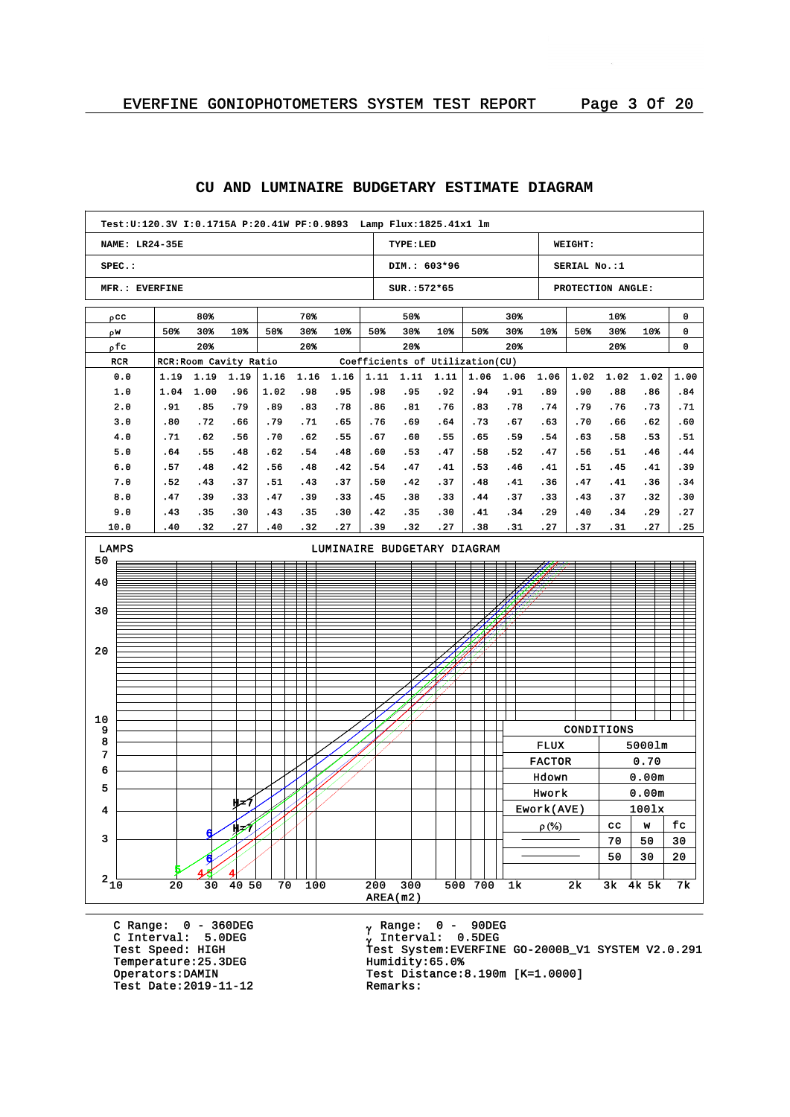#### **NAME: LR24-35E SPEC.: MFR.: EVERFINE TYPE:LED DIM.: 603\*96 SUR.:572\*65 WEIGHT: SERIAL No.:1 PROTECTION ANGLE: Test:U:120.3V I:0.1715A P:20.41W PF:0.9893 Lamp Flux:1825.41x1 lm** pcc w r pfc RCR RCR:Room Cavity Ratio Coefficients of Utilization(CU) 80% 50% 30% 10% 20% 70% 50% 30% 10% 20% 50% 50% 30% 10% 20% 30% 50% 30% 10% 20% 10% 50% 30% 10% 20% 0 0 0 0.0 1.0 2.0 3.0 4.0 5.0 6.0 7.0 8.0 9.0 10.0 1.19 1.19 1.19 1.04 .91 .80 .71 .64 .57 .52 .47 .43 .40 1.00 .85 .72 .62 .55 .48 .43 .39 .35 .32 .96 .79 .66 .56 .48 .42 .37 .33 .30 .27 1.16 1.02 .89 .79 .70 .62 .56 .51 .47 .43 .40 1.16 .98 .83 .71 .62 .54 .48 .43 .39 .35 .32 1.16 .95 .78 .65 .55 .48 .42 .37 .33 .30 .27 1.11 1.11 1.11 .98 .86 .76 .67 .60 .54 .50 .45 .42 .39 .95 .81 .69 .60 .53 .47 .42 .38 .35 .32 .92 .76 .64 .55 .47 .41 .37 .33 .30 .27 1.06 .94 .83 .73 .65 .58 .53 .48 .44 .41 .38 1.06 .91 .78 .67 .59 .52 .46 .41 .37 .34 .31 1.06 .89 .74 .63 .54 .47 .41 .36 .33 .29 .27 1.02 1.02 .90 .79 .70 .63 .56 .51 .47 .43 .40 .37 .88 .76 .66 .58 .51 .45 .41 .37 .34 .31 1.02 .86 .73 .62 .53 .46 .41 .36 .32 .29 .27 1.00 .84 .71 .60 .51 .44 .39 .34 .30 .27 .25 AREA(m2)  $2\frac{1}{10}$   $20$   $30$   $40$   $50$   $70$   $100$   $200$   $300$   $500$   $700$   $1k$   $2k$   $3k$   $4k$   $5k$   $7k$ 3 4 5 6 7 8 9 10 20 30 40 50 LAMPS LUMINAIRE BUDGETARY DIAGRAM 5 4 6 H=7  $\overline{4}$ 6 h=7 CONDITIONS FLUX 5000lm FACTOR 0.70 Hdown 0.00m Hwork 0.00m Ework(AVE) 100lx  $\rho$  (%)  $\vert$  cc  $\vert$  w  $\vert$  fc  $70 | 50 | 30$  $50 \mid 30 \mid 20$

#### **CU AND LUMINAIRE BUDGETARY ESTIMATE DIAGRAM**

C Range: 0 - 360DEG C Interval: 5.0DEG Temperature: 25.3DEG<br>Operators:DAMIN Test Date: 2019-11-12

<sub>v</sub> Range: 0 – 90DEG y Range: 0 – 90DE<br><sub>V</sub> Interval: 0.5DEG <sup>g</sup> Test Speed: HIGH Test System:EVERFINE GO-2000B\_V1 SYSTEM V2.0.291 Test Distance:8.190m [K=1.0000]<br>Remarks: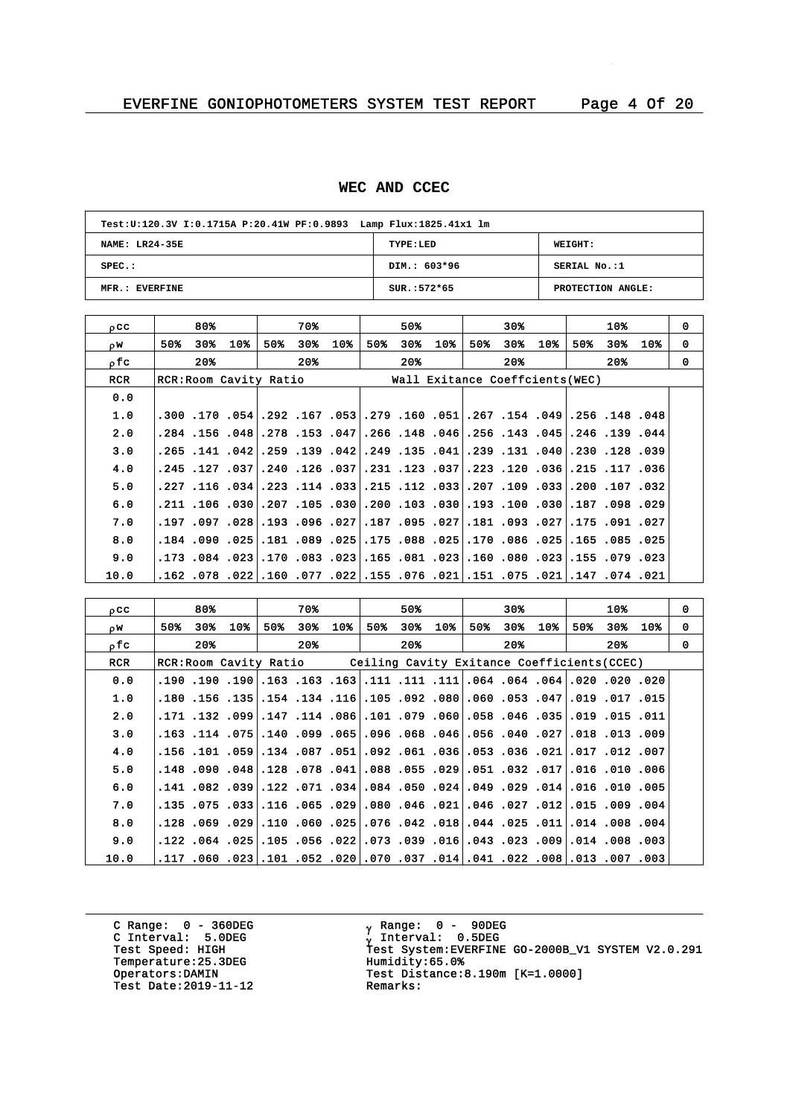#### **WEC AND CCEC**

| Test: U:120.3V I:0.1715A P:20.41W PF:0.9893 Lamp Flux: 1825.41x1 lm |               |                   |  |  |  |  |  |  |  |  |
|---------------------------------------------------------------------|---------------|-------------------|--|--|--|--|--|--|--|--|
| <b>NAME: LR24-35E</b>                                               | TYPE:LED      | WEIGHT:           |  |  |  |  |  |  |  |  |
| $SPEC.$ :                                                           | DIM.: 603*96  | SERIAL No.:1      |  |  |  |  |  |  |  |  |
| MFR.: EVERFINE                                                      | $SUR.:572*65$ | PROTECTION ANGLE: |  |  |  |  |  |  |  |  |

| $_{0}$ CC  |     | 80%   |     |     | 70% |                        |     | 50%             |     |     | 30%   |     |     | 10% |                                 | $\Omega$                                                                                                                                                                                                                                                                                                                                                                                                                                                                                                                                                                                                                                                                                                                                                                                                                   |
|------------|-----|-------|-----|-----|-----|------------------------|-----|-----------------|-----|-----|-------|-----|-----|-----|---------------------------------|----------------------------------------------------------------------------------------------------------------------------------------------------------------------------------------------------------------------------------------------------------------------------------------------------------------------------------------------------------------------------------------------------------------------------------------------------------------------------------------------------------------------------------------------------------------------------------------------------------------------------------------------------------------------------------------------------------------------------------------------------------------------------------------------------------------------------|
| OW.        | 50% | 30%⊧  | 10% | 50% | 30% | 10 <sub>8</sub>        | 50% | 30 <sub>8</sub> | 10% | 50% | 30%   | 10% | 50% | 30% | 10%                             | 0                                                                                                                                                                                                                                                                                                                                                                                                                                                                                                                                                                                                                                                                                                                                                                                                                          |
| ofc        |     | $20*$ |     |     | 20% |                        |     | $20*$           |     |     | $20*$ |     |     | 20% |                                 | $\Omega$                                                                                                                                                                                                                                                                                                                                                                                                                                                                                                                                                                                                                                                                                                                                                                                                                   |
| <b>RCR</b> |     |       |     |     |     |                        |     |                 |     |     |       |     |     |     |                                 |                                                                                                                                                                                                                                                                                                                                                                                                                                                                                                                                                                                                                                                                                                                                                                                                                            |
| 0.0        |     |       |     |     |     |                        |     |                 |     |     |       |     |     |     |                                 |                                                                                                                                                                                                                                                                                                                                                                                                                                                                                                                                                                                                                                                                                                                                                                                                                            |
| 1.0        |     |       |     |     |     |                        |     |                 |     |     |       |     |     |     |                                 |                                                                                                                                                                                                                                                                                                                                                                                                                                                                                                                                                                                                                                                                                                                                                                                                                            |
| 2.0        |     |       |     |     |     |                        |     |                 |     |     |       |     |     |     |                                 |                                                                                                                                                                                                                                                                                                                                                                                                                                                                                                                                                                                                                                                                                                                                                                                                                            |
| 3.0        |     |       |     |     |     |                        |     |                 |     |     |       |     |     |     |                                 |                                                                                                                                                                                                                                                                                                                                                                                                                                                                                                                                                                                                                                                                                                                                                                                                                            |
| 4.0        |     |       |     |     |     |                        |     |                 |     |     |       |     |     |     |                                 |                                                                                                                                                                                                                                                                                                                                                                                                                                                                                                                                                                                                                                                                                                                                                                                                                            |
| 5.0        |     |       |     |     |     |                        |     |                 |     |     |       |     |     |     |                                 |                                                                                                                                                                                                                                                                                                                                                                                                                                                                                                                                                                                                                                                                                                                                                                                                                            |
| 6.0        |     |       |     |     |     |                        |     |                 |     |     |       |     |     |     |                                 |                                                                                                                                                                                                                                                                                                                                                                                                                                                                                                                                                                                                                                                                                                                                                                                                                            |
| 7.0        |     |       |     |     |     |                        |     |                 |     |     |       |     |     |     |                                 |                                                                                                                                                                                                                                                                                                                                                                                                                                                                                                                                                                                                                                                                                                                                                                                                                            |
| 8.0        |     |       |     |     |     |                        |     |                 |     |     |       |     |     |     |                                 |                                                                                                                                                                                                                                                                                                                                                                                                                                                                                                                                                                                                                                                                                                                                                                                                                            |
| 9.0        |     |       |     |     |     |                        |     |                 |     |     |       |     |     |     |                                 |                                                                                                                                                                                                                                                                                                                                                                                                                                                                                                                                                                                                                                                                                                                                                                                                                            |
| 10.0       |     |       |     |     |     |                        |     |                 |     |     |       |     |     |     |                                 |                                                                                                                                                                                                                                                                                                                                                                                                                                                                                                                                                                                                                                                                                                                                                                                                                            |
|            |     |       |     |     |     | RCR: Room Cavity Ratio |     |                 |     |     |       |     |     |     | Wall Exitance Coeffcients (WEC) | 48، 148. 148. 490. 154. 267. 51. 160. 150. 173. 53 167. 162. 154 170 170.<br>.240. 139. 246. 246. 143. 256. 148. 148. 266. 257. 281. 278. 269. 156. 284.<br>.269. 128. 129. 131. 139. 131. 139. 135. 149. 139. 149. 159. 141. 156. 141. 165.<br> 36, 117, 125, 36, 120, 122, 237, 123, 121, 131, 037, 126, 1240,,037,,037,<br> 320. 107. 200. 331. 109. 109. 332.207. 112. 155. 333.114. 223. 346. 116. 227.<br>.21. 098. 099. 187. 030. 100. 193. 030. 103. 030. 030. 105. 030. 030. 110. 121.<br> 227. 091. 175. 277181. 093. 181. 207. 095. 187. 227. 096. 193. 208. 197 197.<br>.181.025 .085.155.150.086.025.170.086.025.175.175.181.181.189.090.025.181.<br>023. 079. 155. 023. 080. 060. 023. 081. 165. 023. 023. 071. 023. 084. 173.<br>021. 074. 147. 021. 075. 075. 051. 076. 075. 022. 077. 077. 022. 078. 052. |

| occ        |                                                                    | 80%   |     |     | 70%   |     |     | 50%   |                                                                                      |     | 30%   |     |     | 10% |     | 0        |
|------------|--------------------------------------------------------------------|-------|-----|-----|-------|-----|-----|-------|--------------------------------------------------------------------------------------|-----|-------|-----|-----|-----|-----|----------|
| OW.        | 50%                                                                | 30%   | 10% | 50% | 30%   | 10% | 50% | 30%   | 10%                                                                                  | 50% | 30%   | 10% | 50% | 30% | 10% | 0        |
| ofc        |                                                                    | $20*$ |     |     | $20*$ |     |     | $20*$ |                                                                                      |     | $20*$ |     |     | 20% |     | $\Omega$ |
| <b>RCR</b> | RCR: Room Cavity Ratio Ceiling Cavity Exitance Coefficients (CCEC) |       |     |     |       |     |     |       |                                                                                      |     |       |     |     |     |     |          |
| 0.0        |                                                                    |       |     |     |       |     |     |       | 020, 200, 200, 201, 204, 204, 204, 111, 111, 111, 163, 163, 163, 190, 190, 190, 190, |     |       |     |     |     |     |          |
| 1.0        |                                                                    |       |     |     |       |     |     |       | .150. 17. 019. 047. 053. 050. 060. 092. 105. 105. 154. 154. 155. 156. 150.           |     |       |     |     |     |     |          |
| 2.0        |                                                                    |       |     |     |       |     |     |       | 011. 151. 1919. 1031. 1046. 1058. 1060. 107. 1086. 114. 114. 1099. 132. 171.         |     |       |     |     |     |     |          |
| 3.0        |                                                                    |       |     |     |       |     |     |       | .009. 1.03 .013 .027. 040. 056. 046. 065. 096. 056. 059. 051. 075. 114. 163.         |     |       |     |     |     |     |          |
| 4.0        |                                                                    |       |     |     |       |     |     |       | ,007, 102, 107, 201, 203, 053, 053, 061, 092, 051, 059, 054, 059, 101, 156, 156,     |     |       |     |     |     |     |          |
| 5.0        |                                                                    |       |     |     |       |     |     |       | .006. 010. 016. 710. 032. 051. 051. 055. 088. 041. 078. 078. 049. 090. 048.          |     |       |     |     |     |     |          |
| 6.0        |                                                                    |       |     |     |       |     |     |       | .1016.010.015. 021.029.024.049.024.050.024.054.082.141.082.039.141.                  |     |       |     |     |     |     |          |
| 7.0        |                                                                    |       |     |     |       |     |     |       | .004. 009. 115.  112. 027. 046.  201. 046. 080.  209. 105. 115.  33. 175. 135.       |     |       |     |     |     |     |          |
| 8.0        |                                                                    |       |     |     |       |     |     |       | .004. 008. 011.014. 025. 044. 018. 042. 076. 076. 069. 010. 029. 059. 029. 128.      |     |       |     |     |     |     |          |
| 9.0        |                                                                    |       |     |     |       |     |     |       | .003, 008, 014. 009, 023, 0.43. 016, 039, 0.73. 0.73. 056. 025. 054. 025. 024.       |     |       |     |     |     |     |          |
| 10.0       |                                                                    |       |     |     |       |     |     |       | .003, 007, 013.  108. 022. 041. 041. 037. 070. 020. 052. 052. 052. 060. 117.         |     |       |     |     |     |     |          |

C Range: 0 - 360DEG C Interval: 5.0DEG Temperature: 25.3DEG<br>Operators:DAMIN Test Date:  $2019-11-12$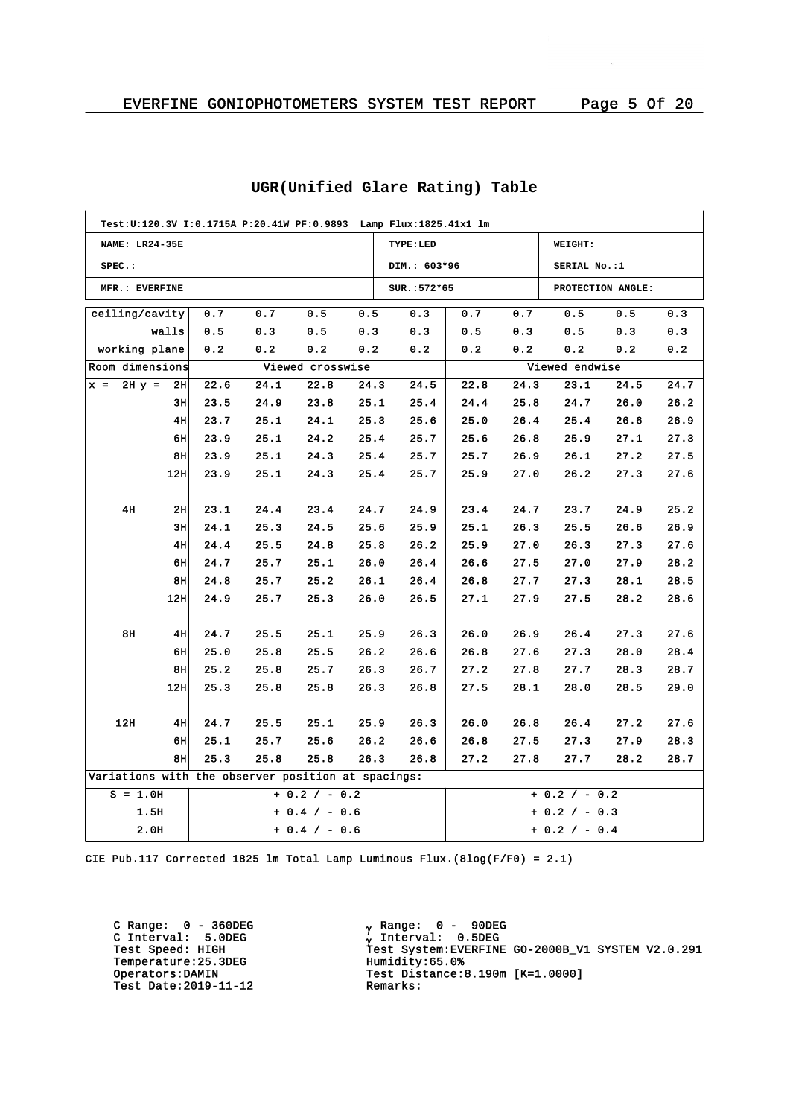|                | Test: U:120.3V I:0.1715A P:20.41W PF:0.9893    Lamp Flux: 1825.41x1    lm |      |      |                  |      |              |      |      |                 |                   |      |
|----------------|---------------------------------------------------------------------------|------|------|------------------|------|--------------|------|------|-----------------|-------------------|------|
|                | <b>NAME: LR24-35E</b>                                                     |      |      |                  |      | TYPE:LED     |      |      | WEIGHT:         |                   |      |
| $SPEC.$ :      |                                                                           |      |      |                  |      | DIM.: 603*96 |      |      | SERIAL No.:1    |                   |      |
| MFR.: EVERFINE |                                                                           |      |      |                  |      | SUR.: 572*65 |      |      |                 | PROTECTION ANGLE: |      |
|                | ceiling/cavity                                                            | 0.7  | 0.7  | 0.5              | 0.5  | 0.3          | 0.7  | 0.7  | 0.5             | 0.5               | 0.3  |
|                | walls                                                                     | 0.5  | 0.3  | 0.5              | 0.3  | 0.3          | 0.5  | 0.3  | 0.5             | 0.3               | 0.3  |
|                | working plane                                                             | 0.2  | 0.2  | 0.2              | 0.2  | 0.2          | 0.2  | 0.2  | 0.2             | 0.2               | 0.2  |
|                | Room dimensions                                                           |      |      | Viewed crosswise |      |              |      |      | Viewed endwise  |                   |      |
| $x =$          | $2H y =$<br>2H                                                            | 22.6 | 24.1 | 22.8             | 24.3 | 24.5         | 22.8 | 24.3 | 23.1            | 24.5              | 24.7 |
|                | 3н                                                                        | 23.5 | 24.9 | 23.8             | 25.1 | 25.4         | 24.4 | 25.8 | 24.7            | 26.0              | 26.2 |
|                | 4H                                                                        | 23.7 | 25.1 | 24.1             | 25.3 | 25.6         | 25.0 | 26.4 | 25.4            | 26.6              | 26.9 |
|                | 6H                                                                        | 23.9 | 25.1 | 24.2             | 25.4 | 25.7         | 25.6 | 26.8 | 25.9            | 27.1              | 27.3 |
|                | 8H                                                                        | 23.9 | 25.1 | 24.3             | 25.4 | 25.7         | 25.7 | 26.9 | 26.1            | 27.2              | 27.5 |
|                | 12H                                                                       | 23.9 | 25.1 | 24.3             | 25.4 | 25.7         | 25.9 | 27.0 | 26.2            | 27.3              | 27.6 |
|                |                                                                           |      |      |                  |      |              |      |      |                 |                   |      |
|                | 4H<br>2H                                                                  | 23.1 | 24.4 | 23.4             | 24.7 | 24.9         | 23.4 | 24.7 | 23.7            | 24.9              | 25.2 |
|                | 3H                                                                        | 24.1 | 25.3 | 24.5             | 25.6 | 25.9         | 25.1 | 26.3 | 25.5            | 26.6              | 26.9 |
|                | 4H                                                                        | 24.4 | 25.5 | 24.8             | 25.8 | 26.2         | 25.9 | 27.0 | 26.3            | 27.3              | 27.6 |
|                | 6H                                                                        | 24.7 | 25.7 | 25.1             | 26.0 | 26.4         | 26.6 | 27.5 | 27.0            | 27.9              | 28.2 |
|                | 8H                                                                        | 24.8 | 25.7 | 25.2             | 26.1 | 26.4         | 26.8 | 27.7 | 27.3            | 28.1              | 28.5 |
|                | 12 <sub>H</sub>                                                           | 24.9 | 25.7 | 25.3             | 26.0 | 26.5         | 27.1 | 27.9 | 27.5            | 28.2              | 28.6 |
|                |                                                                           |      |      |                  |      |              |      |      |                 |                   |      |
|                | 8H<br>4H                                                                  | 24.7 | 25.5 | 25.1             | 25.9 | 26.3         | 26.0 | 26.9 | 26.4            | 27.3              | 27.6 |
|                | 6H                                                                        | 25.0 | 25.8 | 25.5             | 26.2 | 26.6         | 26.8 | 27.6 | 27.3            | 28.0              | 28.4 |
|                | 8H                                                                        | 25.2 | 25.8 | 25.7             | 26.3 | 26.7         | 27.2 | 27.8 | 27.7            | 28.3              | 28.7 |
|                | 12 <sub>H</sub>                                                           | 25.3 | 25.8 | 25.8             | 26.3 | 26.8         | 27.5 | 28.1 | 28.0            | 28.5              | 29.0 |
|                |                                                                           |      |      |                  |      |              |      |      |                 |                   |      |
| 12H            | 4H                                                                        | 24.7 | 25.5 | 25.1             | 25.9 | 26.3         | 26.0 | 26.8 | 26.4            | 27.2              | 27.6 |
|                | 6H                                                                        | 25.1 | 25.7 | 25.6             | 26.2 | 26.6         | 26.8 | 27.5 | 27.3            | 27.9              | 28.3 |
|                | 8H                                                                        | 25.3 | 25.8 | 25.8             | 26.3 | 26.8         | 27.2 | 27.8 | 27.7            | 28.2              | 28.7 |
|                | Variations with the observer position at spacings:                        |      |      |                  |      |              |      |      |                 |                   |      |
|                | $S = 1.0H$                                                                |      |      | $+ 0.2 / - 0.2$  |      |              |      |      | $+ 0.2 / - 0.2$ |                   |      |
|                | 1.5H                                                                      |      |      | $+ 0.4 / - 0.6$  |      |              |      |      | + 0.2 / - 0.3   |                   |      |
|                | 2.0H                                                                      |      |      | $+ 0.4 / - 0.6$  |      |              |      |      | $+ 0.2 / - 0.4$ |                   |      |

## **UGR(Unified Glare Rating) Table**

CIE Pub.117 Corrected 1825 lm Total Lamp Luminous Flux.(8log(F/F0) = 2.1)

C Range: 0 - 360DEG C Interval: 5.0DEG Temperature:25.3DEG<br>Operators:DAMIN Test Date:  $2019-11-12$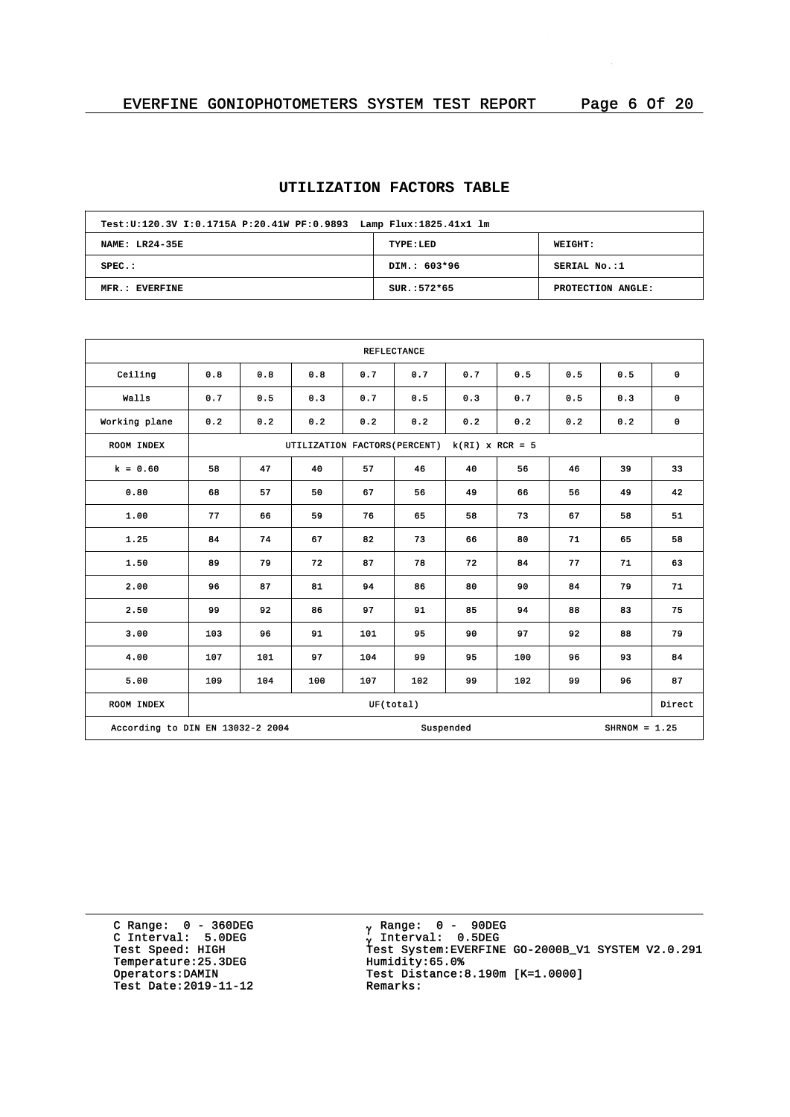# **UTILIZATION FACTORS TABLE**

| Test: U:120.3V I:0.1715A P:20.41W PF:0.9893 Lamp Flux: 1825.41x1 lm |               |                   |  |  |  |  |  |  |  |
|---------------------------------------------------------------------|---------------|-------------------|--|--|--|--|--|--|--|
| NAME: LR24-35E                                                      | TYPE:LED      | WEIGHT:           |  |  |  |  |  |  |  |
| $SPEC.$ :                                                           | DIM.: 603*96  | SERIAL No.:1      |  |  |  |  |  |  |  |
| MFR.: EVERFINE                                                      | $SUR.:572*65$ | PROTECTION ANGLE: |  |  |  |  |  |  |  |

| <b>REFLECTANCE</b>                                               |     |     |                               |           |     |                   |     |     |     |             |
|------------------------------------------------------------------|-----|-----|-------------------------------|-----------|-----|-------------------|-----|-----|-----|-------------|
| Ceiling                                                          | 0.8 | 0.8 | 0.8                           | 0.7       | 0.7 | 0.7               | 0.5 | 0.5 | 0.5 | 0           |
| Walls                                                            | 0.7 | 0.5 | 0.3                           | 0.7       | 0.5 | 0.3               | 0.7 | 0.5 | 0.3 | $\mathbf 0$ |
| Working plane                                                    | 0.2 | 0.2 | 0.2                           | 0.2       | 0.2 | 0.2               | 0.2 | 0.2 | 0.2 | 0           |
| ROOM INDEX                                                       |     |     | UTILIZATION FACTORS (PERCENT) |           |     | $k(RI)$ x RCR = 5 |     |     |     |             |
| $k = 0.60$                                                       | 58  | 47  | 40                            | 57        | 46  | 40                | 56  | 46  | 39  | 33          |
| 0.80                                                             | 68  | 57  | 50                            | 67        | 56  | 49                | 66  | 56  | 49  | 42          |
| 1.00                                                             | 77  | 66  | 59                            | 76        | 65  | 58                | 73  | 67  | 58  | 51          |
| 1.25                                                             | 84  | 74  | 67                            | 82        | 73  | 66                | 80  | 71  | 65  | 58          |
| 1.50                                                             | 89  | 79  | 72                            | 87        | 78  | 72                | 84  | 77  | 71  | 63          |
| 2.00                                                             | 96  | 87  | 81                            | 94        | 86  | 80                | 90  | 84  | 79  | 71          |
| 2.50                                                             | 99  | 92  | 86                            | 97        | 91  | 85                | 94  | 88  | 83  | 75          |
| 3.00                                                             | 103 | 96  | 91                            | 101       | 95  | 90                | 97  | 92  | 88  | 79          |
| 4.00                                                             | 107 | 101 | 97                            | 104       | 99  | 95                | 100 | 96  | 93  | 84          |
| 5.00                                                             | 109 | 104 | 100                           | 107       | 102 | 99                | 102 | 99  | 96  | 87          |
| ROOM INDEX                                                       |     |     |                               | UF(total) |     |                   |     |     |     | Direct      |
| According to DIN EN 13032-2 2004<br>Suspended<br>$SHRNOM = 1.25$ |     |     |                               |           |     |                   |     |     |     |             |

C Range: 0 - 360DEG C Interval: 5.0DEG Temperature: 25.3DEG<br>Operators:DAMIN Test Date:  $2019-11-12$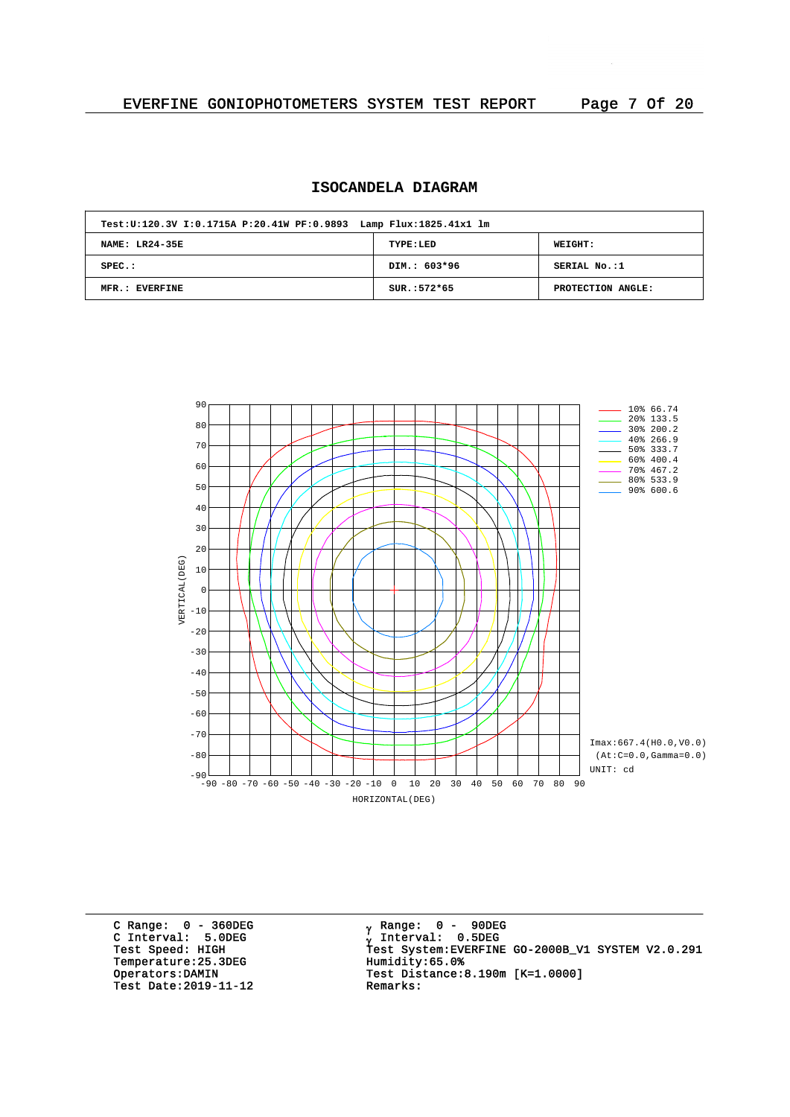# **ISOCANDELA DIAGRAM**

| Test: U:120.3V I:0.1715A P:20.41W PF:0.9893 Lamp Flux: 1825.41x1 lm |               |                   |
|---------------------------------------------------------------------|---------------|-------------------|
| <b>NAME: LR24-35E</b>                                               | TYPE:LED      | <b>WEIGHT:</b>    |
| $SPEC.$ :                                                           | DIM.: 603*96  | SERIAL No.:1      |
| MFR.: EVERFINE                                                      | $SUR.:572*65$ | PROTECTION ANGLE: |



C Range: 0 - 360DEG C Interval: 5.0DEG Temperature: 25.3DEG<br>Operators: DAMIN Test Date:  $2019-11-12$ 

<sub>v</sub> Range: 0 – 90DEG y Range: 0 – 90DE<br><sub>V</sub> Interval: 0.5DEG G INCERTION: 3.0220<br>Test Speed: HIGH Test System:EVERFINE GO-2000B\_V1 SYSTEM V2.0.291<br>Temperature:25.3DEG Humidity:65.0% Test Distance:8.190m [K=1.0000]<br>Remarks: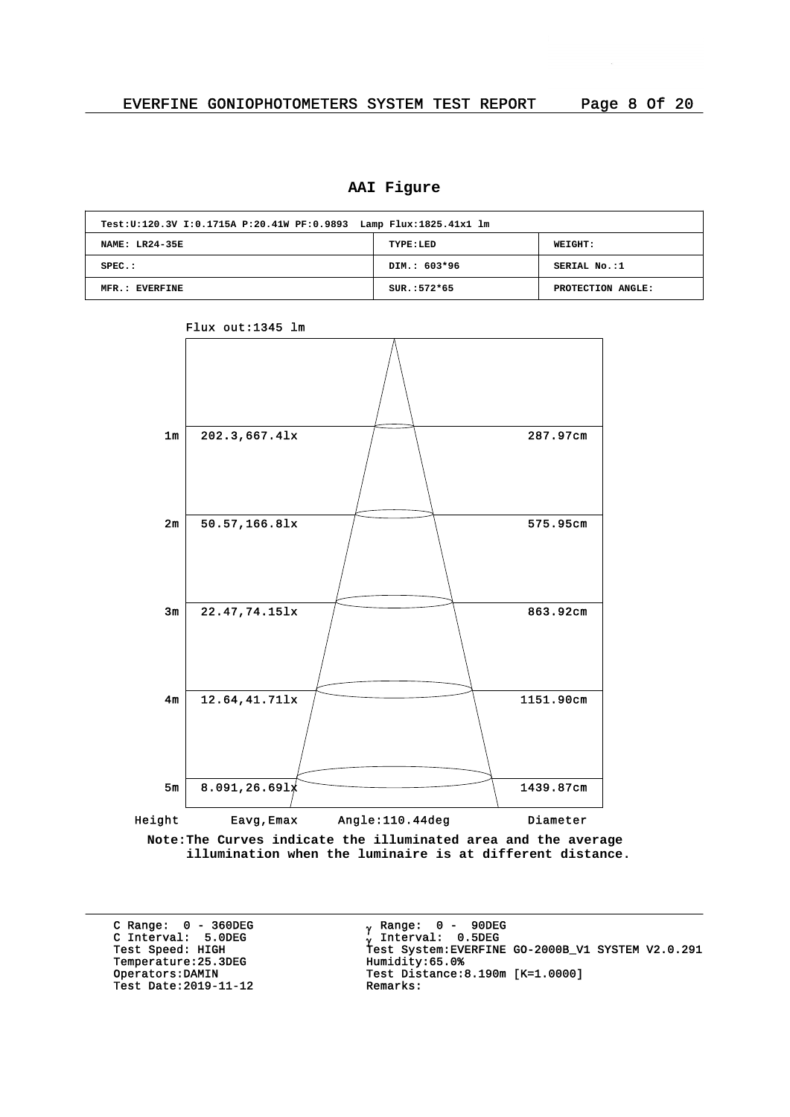# **AAI Figure**

| Test: U:120.3V I:0.1715A P:20.41W PF:0.9893 Lamp Flux: 1825.41x1 lm |               |                   |  |  |  |  |  |  |  |
|---------------------------------------------------------------------|---------------|-------------------|--|--|--|--|--|--|--|
| NAME: LR24-35E                                                      | TYPE:LED      | <b>WEIGHT:</b>    |  |  |  |  |  |  |  |
| $SPEC.$ :                                                           | DIM.: 603*96  | SERIAL No.:1      |  |  |  |  |  |  |  |
| MFR.: EVERFINE                                                      | $SUR.:572*65$ | PROTECTION ANGLE: |  |  |  |  |  |  |  |



Flux out:1345 lm

**Note:The Curves indicate the illuminated area and the average illumination when the luminaire is at different distance.**

C Range: 0 - 360DEG C Interval: 5.0DEG Temperature: 25.3DEG<br>Operators: DAMIN Test Date: 2019-11-12

<sub>v</sub> Range: 0 – 90DEG y Range: 0 – 90DE<br><sub>V</sub> Interval: 0.5DEG G INCERVITE STREET<br>Test Speed: HIGH Test System:EVERFINE GO-2000B\_V1 SYSTEM V2.0.291<br>Temperature:25.3DEG Humidity:65.0% Test Distance:8.190m [K=1.0000]<br>Remarks: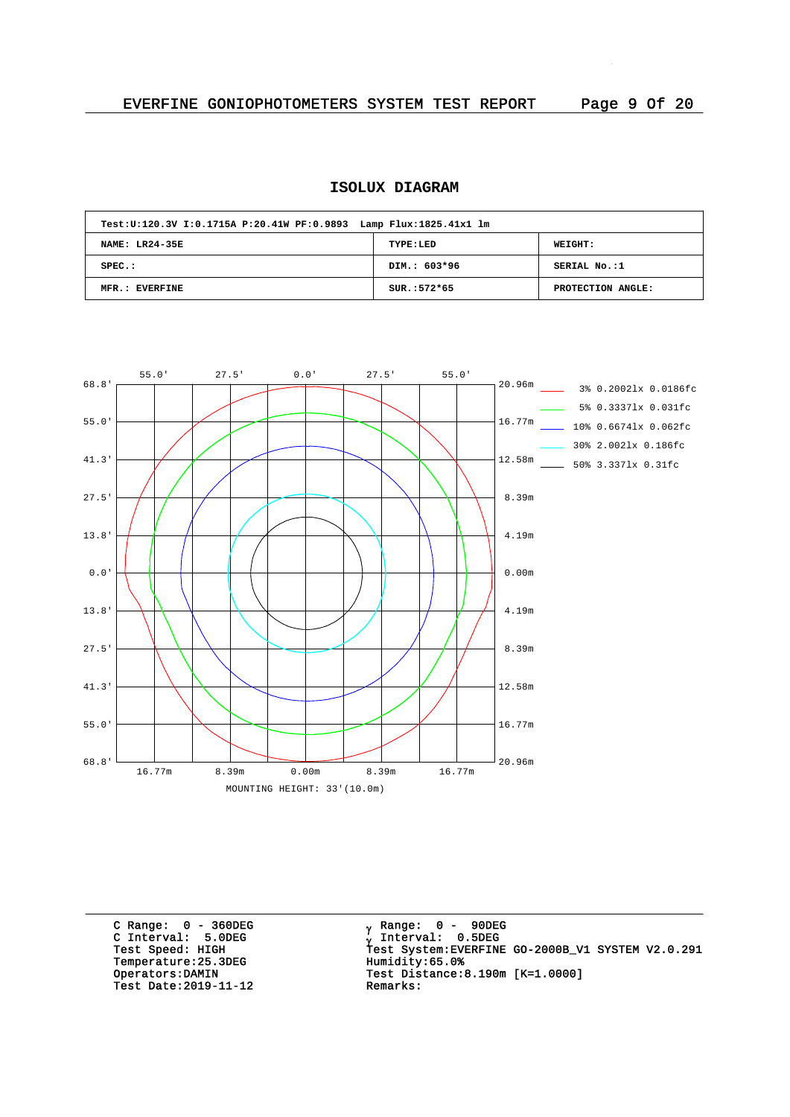# **ISOLUX DIAGRAM**

| Test: U:120.3V I:0.1715A P:20.41W PF:0.9893 Lamp Flux: 1825.41x1 lm |               |                   |
|---------------------------------------------------------------------|---------------|-------------------|
| NAME: LR24-35E                                                      | TYPE:LED      | WEIGHT:           |
| $SPEC.$ :                                                           | DIM.: 603*96  | SERIAL No.:1      |
| MFR.: EVERFINE                                                      | $SUR.:572*65$ | PROTECTION ANGLE: |



C Range: 0 - 360DEG C Interval: 5.0DEG Temperature: 25.3DEG<br>Operators: DAMIN Test Date:  $2019-11-12$ 

<sub>v</sub> Range: 0 – 90DEG y Range: 0 – 90DE<br><sub>V</sub> Interval: 0.5DEG g The Contract System: CONSIDERT STRING Test System: EVERFINE GO-2000B\_V1 SYSTEM V2.0.291<br>Temperature:25.3DEG Humidity:65.0% Test Distance: 8.190m  $[K=1.0000]$ <br>Remarks: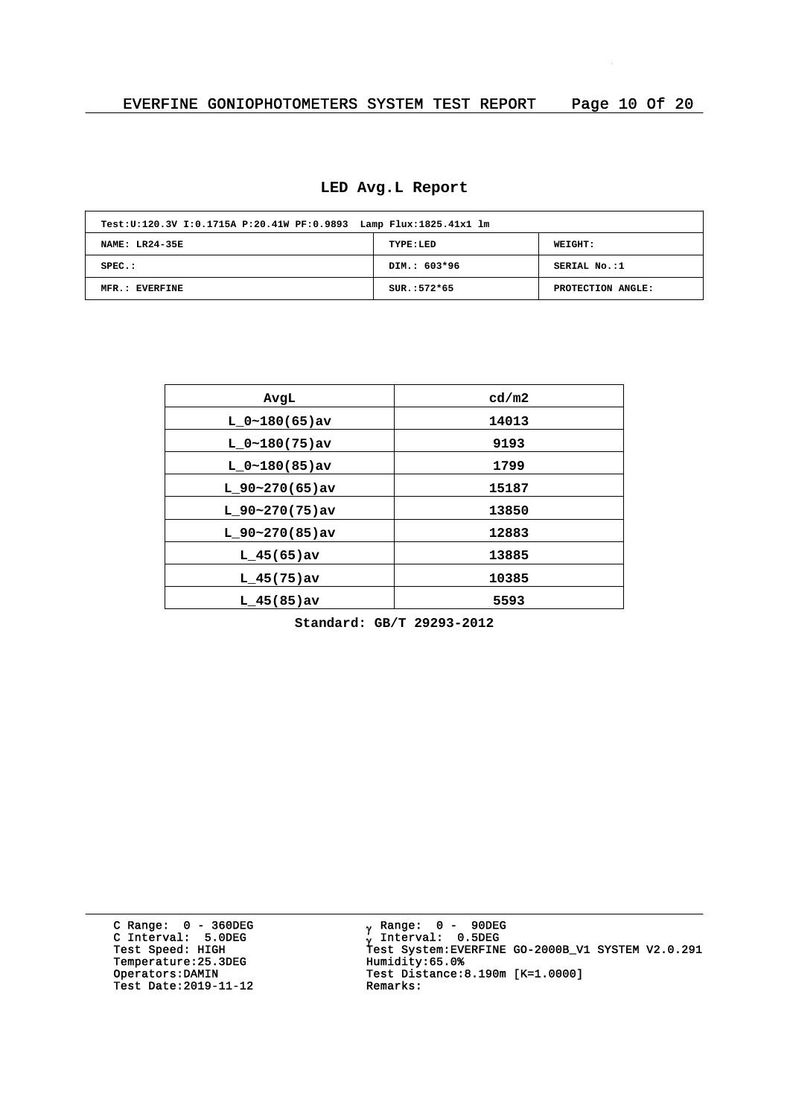# **LED Avg.L Report**

| Test: U:120.3V I:0.1715A P:20.41W PF:0.9893 Lamp Flux: 1825.41x1 lm |               |                   |
|---------------------------------------------------------------------|---------------|-------------------|
| NAME: LR24-35E                                                      | TYPE:LED      | WEIGHT:           |
| $SPEC.$ :                                                           | DIM.: 603*96  | SERIAL No.:1      |
| MFR.: EVERFINE                                                      | $SUR.:572*65$ | PROTECTION ANGLE: |

| AvgL              | cd/m2 |
|-------------------|-------|
| $L_0~180(65)$ av  | 14013 |
| $L_0~180(75)$ av  | 9193  |
| $L 0~180(85)$ av  | 1799  |
| $L$ 90~270(65)av  | 15187 |
| L $90~270(75)$ av | 13850 |
| L $90-270(85)$ av | 12883 |
| $L$ 45(65) av     | 13885 |
| $L$ 45(75)av      | 10385 |
| $L$ 45(85) av     | 5593  |

**Standard: GB/T 29293-2012**

C Range: 0 - 360DEG C Interval: 5.0DEG Temperature: 25.3DEG<br>Operators:DAMIN Test Date:  $2019-11-12$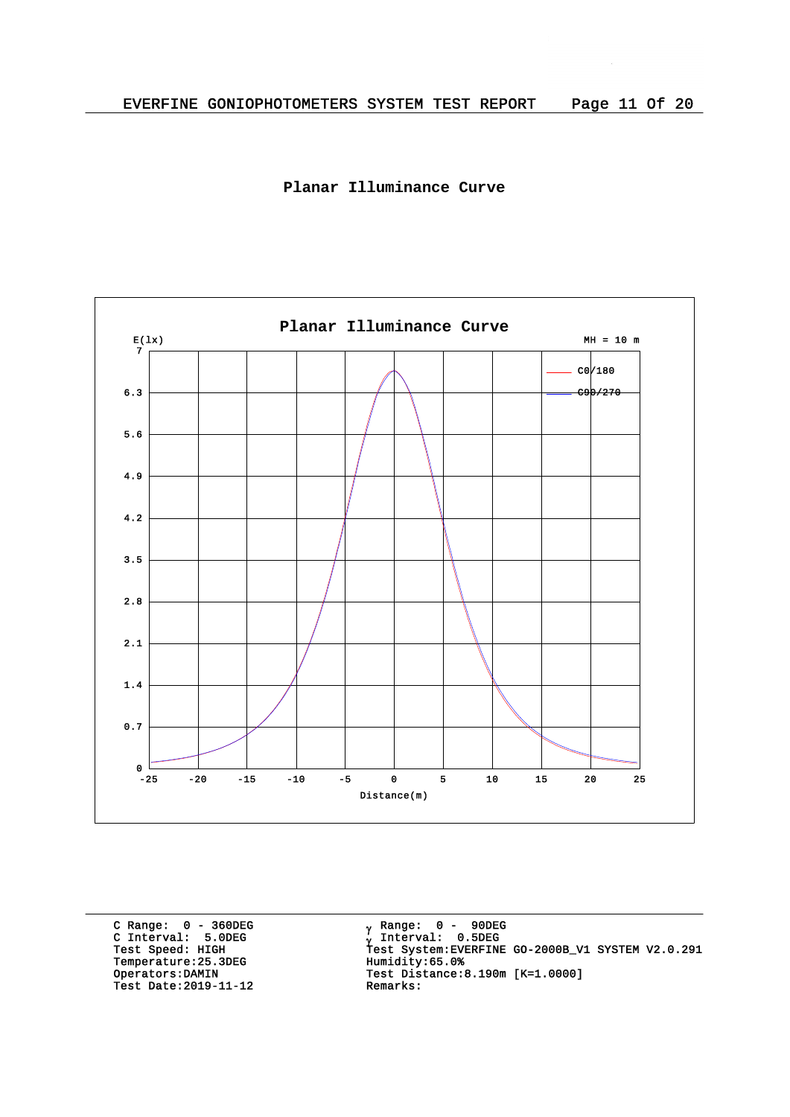



C Range: 0 - 360DEG C Interval: 5.0DEG Temperature: 25.3DEG<br>Operators: DAMIN Test Date:  $2019-11-12$ 

<sub>v</sub> Range: 0 – 90DEG y Range: 0 – 90DE<br><sub>V</sub> Interval: 0.5DEG G INCEIVAL: 3.0220<br>Test Speed: HIGH Test System:EVERFINE GO-2000B\_V1 SYSTEM V2.0.291<br>Temperature:25.3DEG Humidity:65.0% Test Distance:8.190m [K=1.0000]<br>Remarks: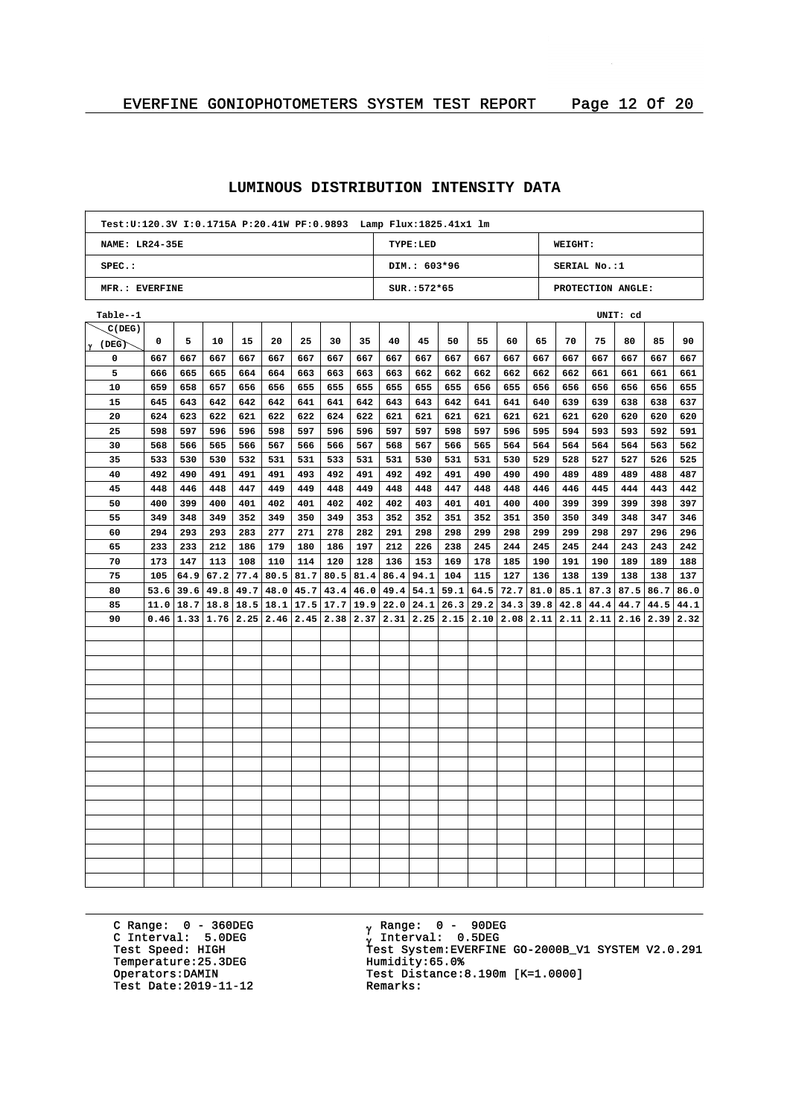| Test: U:120.3V I:0.1715A P:20.41W PF:0.9893 Lamp Flux: 1825.41x1 lm |                                              |      |      |      |      |      |                      |             |      |                                                                                                                                                                 |      |      |      |             |     |                          |          |      |      |
|---------------------------------------------------------------------|----------------------------------------------|------|------|------|------|------|----------------------|-------------|------|-----------------------------------------------------------------------------------------------------------------------------------------------------------------|------|------|------|-------------|-----|--------------------------|----------|------|------|
|                                                                     | <b>NAME: LR24-35E</b><br>TYPE:LED<br>WEIGHT: |      |      |      |      |      |                      |             |      |                                                                                                                                                                 |      |      |      |             |     |                          |          |      |      |
| SPEC.:                                                              |                                              |      |      |      |      |      |                      |             |      | DIM.: 603*96                                                                                                                                                    |      |      |      |             |     | SERIAL No.:1             |          |      |      |
| MFR.: EVERFINE                                                      |                                              |      |      |      |      |      |                      |             |      | $SUR.: 572*65$                                                                                                                                                  |      |      |      |             |     | PROTECTION ANGLE:        |          |      |      |
| Table--1                                                            |                                              |      |      |      |      |      |                      |             |      |                                                                                                                                                                 |      |      |      |             |     |                          | UNIT: cd |      |      |
| C(DEG)                                                              |                                              |      |      |      |      |      |                      |             |      |                                                                                                                                                                 |      |      |      |             |     |                          |          |      |      |
| $\gamma$ (DEG)                                                      | 0                                            | 5    | 10   | 15   | 20   | 25   | 30                   | 35          | 40   | 45                                                                                                                                                              | 50   | 55   | 60   | 65          | 70  | 75                       | 80       | 85   | 90   |
| 0                                                                   | 667                                          | 667  | 667  | 667  | 667  | 667  | 667                  | 667         | 667  | 667                                                                                                                                                             | 667  | 667  | 667  | 667         | 667 | 667                      | 667      | 667  | 667  |
| 5                                                                   | 666                                          | 665  | 665  | 664  | 664  | 663  | 663                  | 663         | 663  | 662                                                                                                                                                             | 662  | 662  | 662  | 662         | 662 | 661                      | 661      | 661  | 661  |
| 10                                                                  | 659                                          | 658  | 657  | 656  | 656  | 655  | 655                  | 655         | 655  | 655                                                                                                                                                             | 655  | 656  | 655  | 656         | 656 | 656                      | 656      | 656  | 655  |
| 15                                                                  | 645                                          | 643  | 642  | 642  | 642  | 641  | 641                  | 642         | 643  | 643                                                                                                                                                             | 642  | 641  | 641  | 640         | 639 | 639                      | 638      | 638  | 637  |
| 20                                                                  | 624                                          | 623  | 622  | 621  | 622  | 622  | 624                  | 622         | 621  | 621                                                                                                                                                             | 621  | 621  | 621  | 621         | 621 | 620                      | 620      | 620  | 620  |
| 25                                                                  | 598                                          | 597  | 596  | 596  | 598  | 597  | 596                  | 596         | 597  | 597                                                                                                                                                             | 598  | 597  | 596  | 595         | 594 | 593                      | 593      | 592  | 591  |
| 30                                                                  | 568                                          | 566  | 565  | 566  | 567  | 566  | 566                  | 567         | 568  | 567                                                                                                                                                             | 566  | 565  | 564  | 564         | 564 | 564                      | 564      | 563  | 562  |
| 35                                                                  | 533                                          | 530  | 530  | 532  | 531  | 531  | 533                  | 531         | 531  | 530                                                                                                                                                             | 531  | 531  | 530  | 529         | 528 | 527                      | 527      | 526  | 525  |
| 40                                                                  | 492                                          | 490  | 491  | 491  | 491  | 493  | 492                  | 491         | 492  | 492                                                                                                                                                             | 491  | 490  | 490  | 490         | 489 | 489                      | 489      | 488  | 487  |
| 45                                                                  | 448                                          | 446  | 448  | 447  | 449  | 449  | 448                  | 449         | 448  | 448                                                                                                                                                             | 447  | 448  | 448  | 446         | 446 | 445                      | 444      | 443  | 442  |
| 50                                                                  | 400                                          | 399  | 400  | 401  | 402  | 401  | 402                  | 402         | 402  | 403                                                                                                                                                             | 401  | 401  | 400  | 400         | 399 | 399                      | 399      | 398  | 397  |
| 55                                                                  | 349                                          | 348  | 349  | 352  | 349  | 350  | 349                  | 353         | 352  | 352                                                                                                                                                             | 351  | 352  | 351  | 350         | 350 | 349                      | 348      | 347  | 346  |
| 60                                                                  | 294                                          | 293  | 293  | 283  | 277  | 271  | 278                  | 282         | 291  | 298                                                                                                                                                             | 298  | 299  | 298  | 299         | 299 | 298                      | 297      | 296  | 296  |
| 65                                                                  | 233                                          | 233  | 212  | 186  | 179  | 180  | 186                  | 197         | 212  | 226                                                                                                                                                             | 238  | 245  | 244  | 245         | 245 | 244                      | 243      | 243  | 242  |
| 70                                                                  | 173                                          | 147  | 113  | 108  | 110  | 114  | 120                  | 128         | 136  | 153                                                                                                                                                             | 169  | 178  | 185  | 190         | 191 | 190                      | 189      | 189  | 188  |
| 75                                                                  | 105                                          | 64.9 | 67.2 | 77.4 | 80.5 |      | $81.7$   80.5   81.4 |             | 86.4 | 94.1                                                                                                                                                            | 104  | 115  | 127  | 136         | 138 | 139                      | 138      | 138  | 137  |
| 80                                                                  | 53.6                                         | 39.6 | 49.8 | 49.7 | 48.0 | 45.7 |                      | 43.4   46.0 | 49.4 | 54.1                                                                                                                                                            | 59.1 | 64.5 | 72.7 | 81.0        |     | $85.1$   $87.3$   $87.5$ |          | 86.7 | 86.0 |
| 85                                                                  | 11.0                                         | 18.7 | 18.8 | 18.5 |      |      |                      |             |      | 18.1 17.5 17.7 19.9 22.0 24.1                                                                                                                                   | 26.3 | 29.2 |      | $34.3$ 39.8 |     | 42.8   44.4              | 44.7     | 44.5 | 44.1 |
| 90                                                                  |                                              |      |      |      |      |      |                      |             |      | $0.46$   $1.33$   $1.76$   $2.25$   $2.46$   $2.45$   $2.38$   $2.37$   $2.31$   $2.25$   $2.15$   $2.10$   $2.08$   $2.11$   $2.11$   $2.11$   $2.16$   $2.39$ |      |      |      |             |     |                          |          |      | 2.32 |
|                                                                     |                                              |      |      |      |      |      |                      |             |      |                                                                                                                                                                 |      |      |      |             |     |                          |          |      |      |
|                                                                     |                                              |      |      |      |      |      |                      |             |      |                                                                                                                                                                 |      |      |      |             |     |                          |          |      |      |
|                                                                     |                                              |      |      |      |      |      |                      |             |      |                                                                                                                                                                 |      |      |      |             |     |                          |          |      |      |
|                                                                     |                                              |      |      |      |      |      |                      |             |      |                                                                                                                                                                 |      |      |      |             |     |                          |          |      |      |
|                                                                     |                                              |      |      |      |      |      |                      |             |      |                                                                                                                                                                 |      |      |      |             |     |                          |          |      |      |
|                                                                     |                                              |      |      |      |      |      |                      |             |      |                                                                                                                                                                 |      |      |      |             |     |                          |          |      |      |
|                                                                     |                                              |      |      |      |      |      |                      |             |      |                                                                                                                                                                 |      |      |      |             |     |                          |          |      |      |
|                                                                     |                                              |      |      |      |      |      |                      |             |      |                                                                                                                                                                 |      |      |      |             |     |                          |          |      |      |
|                                                                     |                                              |      |      |      |      |      |                      |             |      |                                                                                                                                                                 |      |      |      |             |     |                          |          |      |      |
|                                                                     |                                              |      |      |      |      |      |                      |             |      |                                                                                                                                                                 |      |      |      |             |     |                          |          |      |      |
|                                                                     |                                              |      |      |      |      |      |                      |             |      |                                                                                                                                                                 |      |      |      |             |     |                          |          |      |      |
|                                                                     |                                              |      |      |      |      |      |                      |             |      |                                                                                                                                                                 |      |      |      |             |     |                          |          |      |      |
|                                                                     |                                              |      |      |      |      |      |                      |             |      |                                                                                                                                                                 |      |      |      |             |     |                          |          |      |      |
|                                                                     |                                              |      |      |      |      |      |                      |             |      |                                                                                                                                                                 |      |      |      |             |     |                          |          |      |      |
|                                                                     |                                              |      |      |      |      |      |                      |             |      |                                                                                                                                                                 |      |      |      |             |     |                          |          |      |      |
|                                                                     |                                              |      |      |      |      |      |                      |             |      |                                                                                                                                                                 |      |      |      |             |     |                          |          |      |      |
|                                                                     |                                              |      |      |      |      |      |                      |             |      |                                                                                                                                                                 |      |      |      |             |     |                          |          |      |      |
|                                                                     |                                              |      |      |      |      |      |                      |             |      |                                                                                                                                                                 |      |      |      |             |     |                          |          |      |      |

C Range: 0 - 360DEG C Interval: 5.0DEG Temperature: 25.3DEG<br>Operators: DAMIN Test Date:  $2019-11-12$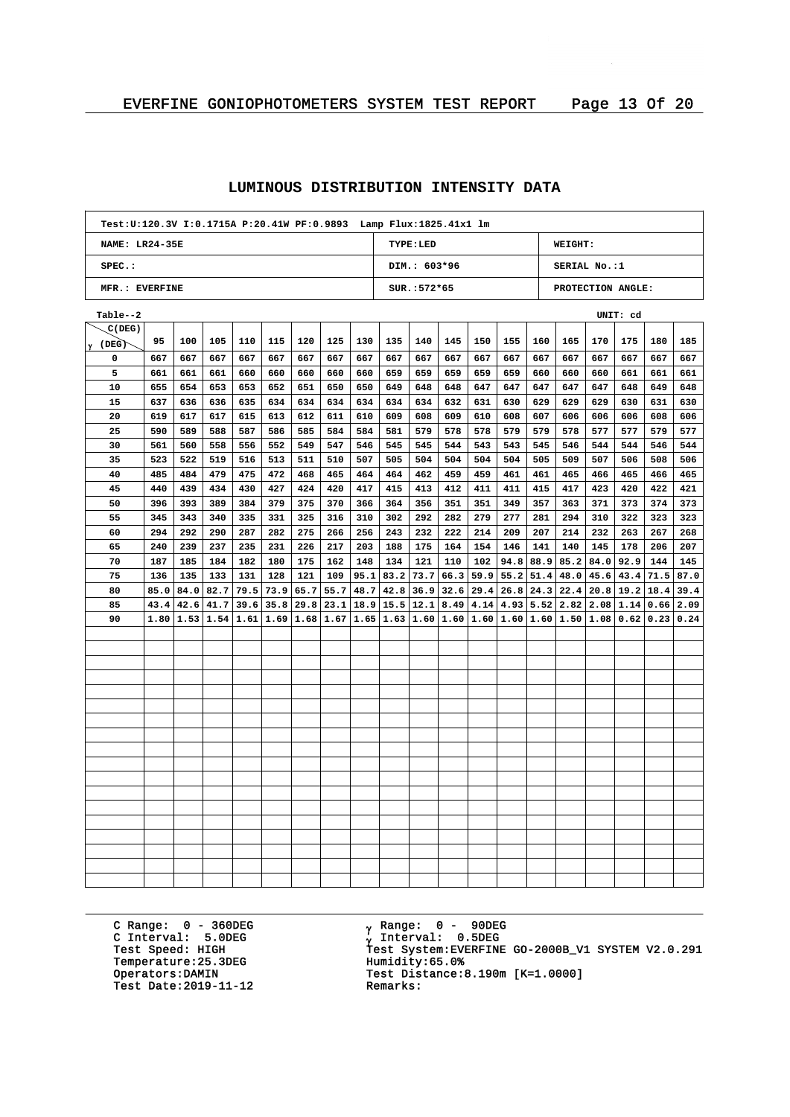| Test: U:120.3V I:0.1715A P:20.41W PF:0.9893 Lamp Flux: 1825.41x1 lm |                                              |      |      |      |      |      |               |      |               |                |      |      |               |      |               |                             |                                                                                                                                               |      |      |
|---------------------------------------------------------------------|----------------------------------------------|------|------|------|------|------|---------------|------|---------------|----------------|------|------|---------------|------|---------------|-----------------------------|-----------------------------------------------------------------------------------------------------------------------------------------------|------|------|
|                                                                     | <b>NAME: LR24-35E</b><br>TYPE:LED<br>WEIGHT: |      |      |      |      |      |               |      |               |                |      |      |               |      |               |                             |                                                                                                                                               |      |      |
| SPEC.:                                                              |                                              |      |      |      |      |      |               |      |               | DIM.: 603*96   |      |      |               |      |               | SERIAL No.:1                |                                                                                                                                               |      |      |
| MFR.: EVERFINE                                                      |                                              |      |      |      |      |      |               |      |               | $SUR.: 572*65$ |      |      |               |      |               |                             | PROTECTION ANGLE:                                                                                                                             |      |      |
| Table--2                                                            |                                              |      |      |      |      |      |               |      |               |                |      |      |               |      |               |                             | UNIT: cd                                                                                                                                      |      |      |
| C(DEG)                                                              |                                              |      |      |      |      |      |               |      |               |                |      |      |               |      |               |                             |                                                                                                                                               |      |      |
| $\gamma$ (DEG)                                                      | 95                                           | 100  | 105  | 110  | 115  | 120  | 125           | 130  | 135           | 140            | 145  | 150  | 155           | 160  | 165           | 170                         | 175                                                                                                                                           | 180  | 185  |
| 0                                                                   | 667                                          | 667  | 667  | 667  | 667  | 667  | 667           | 667  | 667           | 667            | 667  | 667  | 667           | 667  | 667           | 667                         | 667                                                                                                                                           | 667  | 667  |
| 5                                                                   | 661                                          | 661  | 661  | 660  | 660  | 660  | 660           | 660  | 659           | 659            | 659  | 659  | 659           | 660  | 660           | 660                         | 661                                                                                                                                           | 661  | 661  |
| 10                                                                  | 655                                          | 654  | 653  | 653  | 652  | 651  | 650           | 650  | 649           | 648            | 648  | 647  | 647           | 647  | 647           | 647                         | 648                                                                                                                                           | 649  | 648  |
| 15                                                                  | 637                                          | 636  | 636  | 635  | 634  | 634  | 634           | 634  | 634           | 634            | 632  | 631  | 630           | 629  | 629           | 629                         | 630                                                                                                                                           | 631  | 630  |
| 20                                                                  | 619                                          | 617  | 617  | 615  | 613  | 612  | 611           | 610  | 609           | 608            | 609  | 610  | 608           | 607  | 606           | 606                         | 606                                                                                                                                           | 608  | 606  |
| 25                                                                  | 590                                          | 589  | 588  | 587  | 586  | 585  | 584           | 584  | 581           | 579            | 578  | 578  | 579           | 579  | 578           | 577                         | 577                                                                                                                                           | 579  | 577  |
| 30                                                                  | 561                                          | 560  | 558  | 556  | 552  | 549  | 547           | 546  | 545           | 545            | 544  | 543  | 543           | 545  | 546           | 544                         | 544                                                                                                                                           | 546  | 544  |
| 35                                                                  | 523                                          | 522  | 519  | 516  | 513  | 511  | 510           | 507  | 505           | 504            | 504  | 504  | 504           | 505  | 509           | 507                         | 506                                                                                                                                           | 508  | 506  |
| 40                                                                  | 485                                          | 484  | 479  | 475  | 472  | 468  | 465           | 464  | 464           | 462            | 459  | 459  | 461           | 461  | 465           | 466                         | 465                                                                                                                                           | 466  | 465  |
| 45                                                                  | 440                                          | 439  | 434  | 430  | 427  | 424  | 420           | 417  | 415           | 413            | 412  | 411  | 411           | 415  | 417           | 423                         | 420                                                                                                                                           | 422  | 421  |
| 50                                                                  | 396                                          | 393  | 389  | 384  | 379  | 375  | 370           | 366  | 364           | 356            | 351  | 351  | 349           | 357  | 363           | 371                         | 373                                                                                                                                           | 374  | 373  |
| 55                                                                  | 345                                          | 343  | 340  | 335  | 331  | 325  | 316           | 310  | 302           | 292            | 282  | 279  | 277           | 281  | 294           | 310                         | 322                                                                                                                                           | 323  | 323  |
| 60                                                                  | 294                                          | 292  | 290  | 287  | 282  | 275  | 266           | 256  | 243           | 232            | 222  | 214  | 209           | 207  | 214           | 232                         | 263                                                                                                                                           | 267  | 268  |
| 65                                                                  | 240                                          | 239  | 237  | 235  | 231  | 226  | 217           | 203  | 188           | 175            | 164  | 154  | 146           | 141  | 140           | 145                         | 178                                                                                                                                           | 206  | 207  |
| 70                                                                  | 187                                          | 185  | 184  | 182  | 180  | 175  | 162           | 148  | 134           | 121            | 110  | 102  | 94.8          |      |               | $88.9$   85.2   84.0   92.9 |                                                                                                                                               | 144  | 145  |
| 75                                                                  | 136                                          | 135  | 133  | 131  | 128  | 121  | 109           | 95.1 | 83.2          | 73.7           | 66.3 | 59.9 | 55.2          | 51.4 | 48.0          | 45.6                        | 43.4                                                                                                                                          | 71.5 | 87.0 |
| 80                                                                  | 85.0                                         | 84.0 | 82.7 | 79.5 | 73.9 | 65.7 | 55.7          | 48.7 | 42.8          | 36.9           | 32.6 | 29.4 | 26.8          |      |               | $24.3$ $22.4$ $20.8$ 19.2   |                                                                                                                                               | 18.4 | 39.4 |
| 85                                                                  | 43.4                                         | 42.6 | 41.7 | 39.6 | 35.8 |      | $29.8$   23.1 |      | $18.9$   15.5 | 12.1           | 8.49 |      | $4.14$   4.93 |      | $5.52$   2.82 | $2.08 \mid 1.14$            |                                                                                                                                               | 0.66 | 2.09 |
| 90                                                                  | 1.80                                         |      |      |      |      |      |               |      |               |                |      |      |               |      |               |                             | $1.53$   $1.54$   $1.61$   $1.69$   $1.68$   $1.67$   $1.65$   $1.63$   $1.60$   $1.60$   $1.60$   $1.60$   $1.60$   $1.50$   $1.98$   $0.62$ | 0.23 | 0.24 |
|                                                                     |                                              |      |      |      |      |      |               |      |               |                |      |      |               |      |               |                             |                                                                                                                                               |      |      |
|                                                                     |                                              |      |      |      |      |      |               |      |               |                |      |      |               |      |               |                             |                                                                                                                                               |      |      |
|                                                                     |                                              |      |      |      |      |      |               |      |               |                |      |      |               |      |               |                             |                                                                                                                                               |      |      |
|                                                                     |                                              |      |      |      |      |      |               |      |               |                |      |      |               |      |               |                             |                                                                                                                                               |      |      |
|                                                                     |                                              |      |      |      |      |      |               |      |               |                |      |      |               |      |               |                             |                                                                                                                                               |      |      |
|                                                                     |                                              |      |      |      |      |      |               |      |               |                |      |      |               |      |               |                             |                                                                                                                                               |      |      |
|                                                                     |                                              |      |      |      |      |      |               |      |               |                |      |      |               |      |               |                             |                                                                                                                                               |      |      |
|                                                                     |                                              |      |      |      |      |      |               |      |               |                |      |      |               |      |               |                             |                                                                                                                                               |      |      |
|                                                                     |                                              |      |      |      |      |      |               |      |               |                |      |      |               |      |               |                             |                                                                                                                                               |      |      |
|                                                                     |                                              |      |      |      |      |      |               |      |               |                |      |      |               |      |               |                             |                                                                                                                                               |      |      |
|                                                                     |                                              |      |      |      |      |      |               |      |               |                |      |      |               |      |               |                             |                                                                                                                                               |      |      |
|                                                                     |                                              |      |      |      |      |      |               |      |               |                |      |      |               |      |               |                             |                                                                                                                                               |      |      |
|                                                                     |                                              |      |      |      |      |      |               |      |               |                |      |      |               |      |               |                             |                                                                                                                                               |      |      |
|                                                                     |                                              |      |      |      |      |      |               |      |               |                |      |      |               |      |               |                             |                                                                                                                                               |      |      |
|                                                                     |                                              |      |      |      |      |      |               |      |               |                |      |      |               |      |               |                             |                                                                                                                                               |      |      |
|                                                                     |                                              |      |      |      |      |      |               |      |               |                |      |      |               |      |               |                             |                                                                                                                                               |      |      |
|                                                                     |                                              |      |      |      |      |      |               |      |               |                |      |      |               |      |               |                             |                                                                                                                                               |      |      |
|                                                                     |                                              |      |      |      |      |      |               |      |               |                |      |      |               |      |               |                             |                                                                                                                                               |      |      |

C Range: 0 - 360DEG C Interval: 5.0DEG Temperature: 25.3DEG<br>Operators: DAMIN Test Date:  $2019-11-12$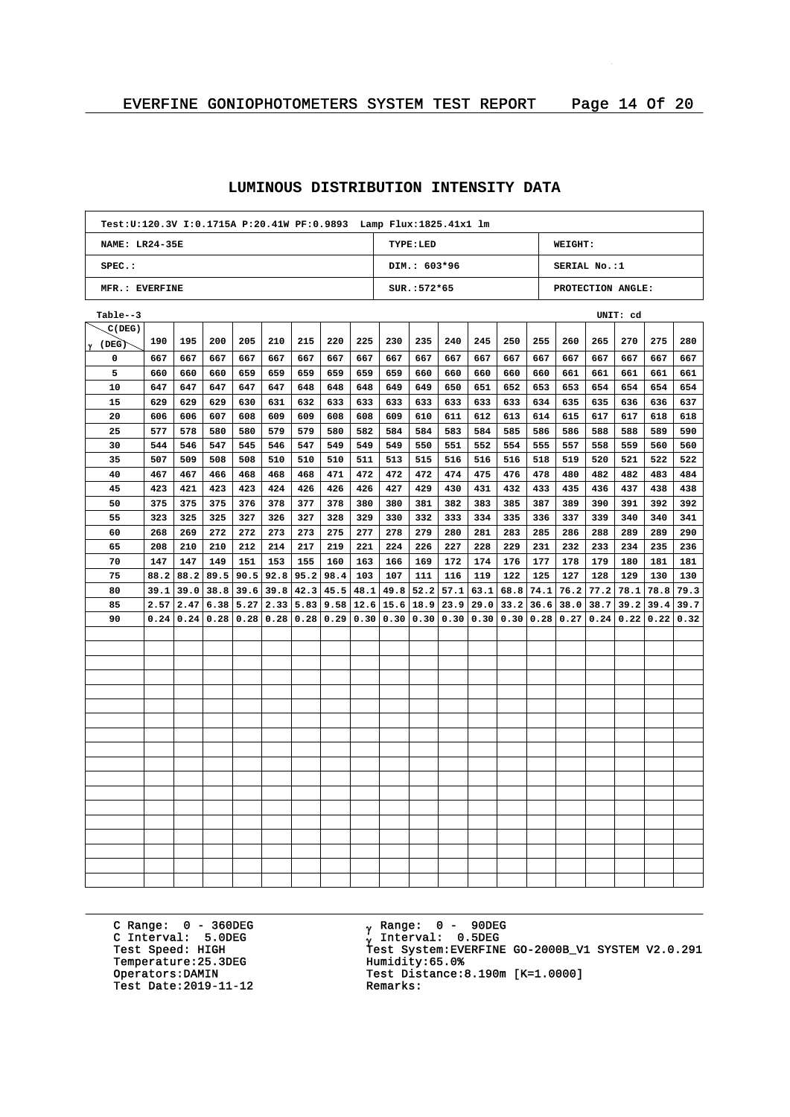| Test:U:120.3V I:0.1715A P:20.41W PF:0.9893    Lamp Flux:1825.41x1    lm |                                              |      |      |             |      |      |                             |     |                                           |               |      |             |      |      |                    |      |                   |      |      |
|-------------------------------------------------------------------------|----------------------------------------------|------|------|-------------|------|------|-----------------------------|-----|-------------------------------------------|---------------|------|-------------|------|------|--------------------|------|-------------------|------|------|
|                                                                         | <b>NAME: LR24-35E</b><br>TYPE:LED<br>WEIGHT: |      |      |             |      |      |                             |     |                                           |               |      |             |      |      |                    |      |                   |      |      |
| SPEC.:                                                                  |                                              |      |      |             |      |      |                             |     |                                           | DIM.: 603*96  |      |             |      |      | SERIAL No.:1       |      |                   |      |      |
| MFR.: EVERFINE                                                          |                                              |      |      |             |      |      |                             |     |                                           | $SUR.:572*65$ |      |             |      |      |                    |      | PROTECTION ANGLE: |      |      |
| Table--3                                                                |                                              |      |      |             |      |      |                             |     |                                           |               |      |             |      |      |                    |      | UNIT: cd          |      |      |
| C(DEG)                                                                  |                                              |      |      |             |      |      |                             |     |                                           |               |      |             |      |      |                    |      |                   |      |      |
| $\gamma$ (DEG)                                                          | 190                                          | 195  | 200  | 205         | 210  | 215  | 220                         | 225 | 230                                       | 235           | 240  | 245         | 250  | 255  | 260                | 265  | 270               | 275  | 280  |
| 0                                                                       | 667                                          | 667  | 667  | 667         | 667  | 667  | 667                         | 667 | 667                                       | 667           | 667  | 667         | 667  | 667  | 667                | 667  | 667               | 667  | 667  |
| 5                                                                       | 660                                          | 660  | 660  | 659         | 659  | 659  | 659                         | 659 | 659                                       | 660           | 660  | 660         | 660  | 660  | 661                | 661  | 661               | 661  | 661  |
| 10                                                                      | 647                                          | 647  | 647  | 647         | 647  | 648  | 648                         | 648 | 649                                       | 649           | 650  | 651         | 652  | 653  | 653                | 654  | 654               | 654  | 654  |
| 15                                                                      | 629                                          | 629  | 629  | 630         | 631  | 632  | 633                         | 633 | 633                                       | 633           | 633  | 633         | 633  | 634  | 635                | 635  | 636               | 636  | 637  |
| 20                                                                      | 606                                          | 606  | 607  | 608         | 609  | 609  | 608                         | 608 | 609                                       | 610           | 611  | 612         | 613  | 614  | 615                | 617  | 617               | 618  | 618  |
| 25                                                                      | 577                                          | 578  | 580  | 580         | 579  | 579  | 580                         | 582 | 584                                       | 584           | 583  | 584         | 585  | 586  | 586                | 588  | 588               | 589  | 590  |
| 30                                                                      | 544                                          | 546  | 547  | 545         | 546  | 547  | 549                         | 549 | 549                                       | 550           | 551  | 552         | 554  | 555  | 557                | 558  | 559               | 560  | 560  |
| 35                                                                      | 507                                          | 509  | 508  | 508         | 510  | 510  | 510                         | 511 | 513                                       | 515           | 516  | 516         | 516  | 518  | 519                | 520  | 521               | 522  | 522  |
| 40                                                                      | 467                                          | 467  | 466  | 468         | 468  | 468  | 471                         | 472 | 472                                       | 472           | 474  | 475         | 476  | 478  | 480                | 482  | 482               | 483  | 484  |
| 45                                                                      | 423                                          | 421  | 423  | 423         | 424  | 426  | 426                         | 426 | 427                                       | 429           | 430  | 431         | 432  | 433  | 435                | 436  | 437               | 438  | 438  |
| 50                                                                      | 375                                          | 375  | 375  | 376         | 378  | 377  | 378                         | 380 | 380                                       | 381           | 382  | 383         | 385  | 387  | 389                | 390  | 391               | 392  | 392  |
| 55                                                                      | 323                                          | 325  | 325  | 327         | 326  | 327  | 328                         | 329 | 330                                       | 332           | 333  | 334         | 335  | 336  | 337                | 339  | 340               | 340  | 341  |
| 60                                                                      | 268                                          | 269  | 272  | 272         | 273  | 273  | 275                         | 277 | 278                                       | 279           | 280  | 281         | 283  | 285  | 286                | 288  | 289               | 289  | 290  |
| 65                                                                      | 208                                          | 210  | 210  | 212         | 214  | 217  | 219                         | 221 | 224                                       | 226           | 227  | 228         | 229  | 231  | 232                | 233  | 234               | 235  | 236  |
| 70                                                                      | 147                                          | 147  | 149  | 151         | 153  | 155  | 160                         | 163 | 166                                       | 169           | 172  | 174         | 176  | 177  | 178                | 179  | 180               | 181  | 181  |
| 75                                                                      | 88.2                                         | 88.2 | 89.5 | 90.5        | 92.8 | 95.2 | 98.4                        | 103 | 107                                       | 111           | 116  | 119         | 122  | 125  | 127                | 128  | 129               | 130  | 130  |
| 80                                                                      | 39.1                                         | 39.0 | 38.8 | 39.6        | 39.8 |      | 42.3   45.5   48.1          |     | 49.8                                      | 52.2          | 57.1 | 63.1        | 68.8 | 74.1 | 76.2               | 77.2 | 78.1              | 78.8 | 79.3 |
| 85                                                                      | 2.57                                         | 2.47 | 6.38 | 5.27        | 2.33 |      | $5.83$   9.58   12.6   15.6 |     |                                           | 18.9          | 23.9 | 29.0        | 33.2 | 36.6 | 38.0               | 38.7 | 39.2              | 39.4 | 39.7 |
| 90                                                                      | 0.24                                         | 0.24 | 0.28 | $0.28$ 0.28 |      |      |                             |     | $0.28 \mid 0.29 \mid 0.30 \mid 0.30 \mid$ | 0.30          | 0.30 | 0.30   0.30 |      |      | 0.28   0.27   0.24 |      | 0.22              | 0.22 | 0.32 |
|                                                                         |                                              |      |      |             |      |      |                             |     |                                           |               |      |             |      |      |                    |      |                   |      |      |
|                                                                         |                                              |      |      |             |      |      |                             |     |                                           |               |      |             |      |      |                    |      |                   |      |      |
|                                                                         |                                              |      |      |             |      |      |                             |     |                                           |               |      |             |      |      |                    |      |                   |      |      |
|                                                                         |                                              |      |      |             |      |      |                             |     |                                           |               |      |             |      |      |                    |      |                   |      |      |
|                                                                         |                                              |      |      |             |      |      |                             |     |                                           |               |      |             |      |      |                    |      |                   |      |      |
|                                                                         |                                              |      |      |             |      |      |                             |     |                                           |               |      |             |      |      |                    |      |                   |      |      |
|                                                                         |                                              |      |      |             |      |      |                             |     |                                           |               |      |             |      |      |                    |      |                   |      |      |
|                                                                         |                                              |      |      |             |      |      |                             |     |                                           |               |      |             |      |      |                    |      |                   |      |      |
|                                                                         |                                              |      |      |             |      |      |                             |     |                                           |               |      |             |      |      |                    |      |                   |      |      |
|                                                                         |                                              |      |      |             |      |      |                             |     |                                           |               |      |             |      |      |                    |      |                   |      |      |
|                                                                         |                                              |      |      |             |      |      |                             |     |                                           |               |      |             |      |      |                    |      |                   |      |      |
|                                                                         |                                              |      |      |             |      |      |                             |     |                                           |               |      |             |      |      |                    |      |                   |      |      |
|                                                                         |                                              |      |      |             |      |      |                             |     |                                           |               |      |             |      |      |                    |      |                   |      |      |
|                                                                         |                                              |      |      |             |      |      |                             |     |                                           |               |      |             |      |      |                    |      |                   |      |      |
|                                                                         |                                              |      |      |             |      |      |                             |     |                                           |               |      |             |      |      |                    |      |                   |      |      |
|                                                                         |                                              |      |      |             |      |      |                             |     |                                           |               |      |             |      |      |                    |      |                   |      |      |
|                                                                         |                                              |      |      |             |      |      |                             |     |                                           |               |      |             |      |      |                    |      |                   |      |      |
|                                                                         |                                              |      |      |             |      |      |                             |     |                                           |               |      |             |      |      |                    |      |                   |      |      |

C Range: 0 - 360DEG C Interval: 5.0DEG Temperature: 25.3DEG<br>Operators: DAMIN Test Date:  $2019-11-12$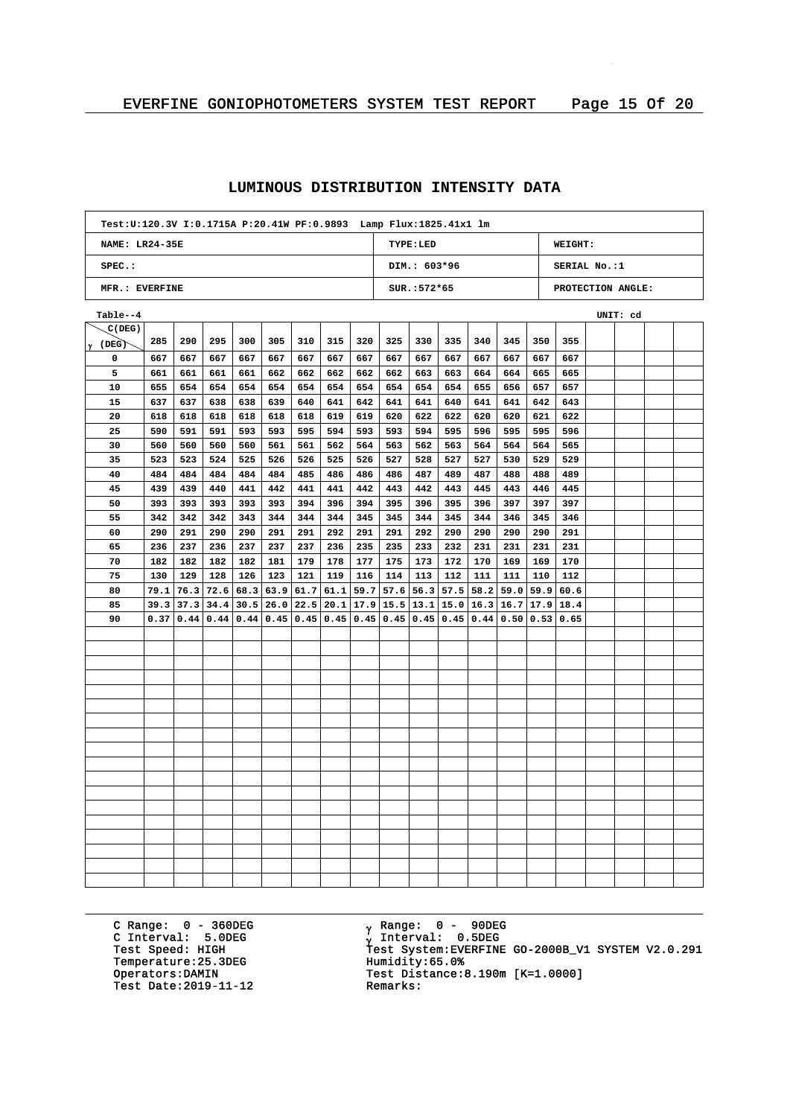| Test: U:120.3V I:0.1715A P:20.41W PF:0.9893    Lamp Flux: 1825.41x1    lm |                                                     |             |      |     |                      |                                  |     |     |     |                                                                                                                    |     |                            |     |     |              |                   |  |
|---------------------------------------------------------------------------|-----------------------------------------------------|-------------|------|-----|----------------------|----------------------------------|-----|-----|-----|--------------------------------------------------------------------------------------------------------------------|-----|----------------------------|-----|-----|--------------|-------------------|--|
|                                                                           | <b>NAME: LR24-35E</b><br>TYPE:LED<br><b>WEIGHT:</b> |             |      |     |                      |                                  |     |     |     |                                                                                                                    |     |                            |     |     |              |                   |  |
| $SPEC.$ :                                                                 |                                                     |             |      |     |                      |                                  |     |     |     | DIM.: 603*96                                                                                                       |     |                            |     |     | SERIAL No.:1 |                   |  |
| MFR.: EVERFINE                                                            |                                                     |             |      |     |                      |                                  |     |     |     | SUR.: 572*65                                                                                                       |     |                            |     |     |              | PROTECTION ANGLE: |  |
| Table--4                                                                  |                                                     |             |      |     |                      |                                  |     |     |     |                                                                                                                    |     |                            |     |     |              | UNIT: cd          |  |
| C(DEG)                                                                    |                                                     |             |      |     |                      |                                  |     |     |     |                                                                                                                    |     |                            |     |     |              |                   |  |
| <sup> </sup> γ (DEG)                                                      | 285                                                 | 290         | 295  | 300 | 305                  | 310                              | 315 | 320 | 325 | 330                                                                                                                | 335 | 340                        | 345 | 350 | 355          |                   |  |
| 0                                                                         | 667                                                 | 667         | 667  | 667 | 667                  | 667                              | 667 | 667 | 667 | 667                                                                                                                | 667 | 667                        | 667 | 667 | 667          |                   |  |
| 5                                                                         | 661                                                 | 661         | 661  | 661 | 662                  | 662                              | 662 | 662 | 662 | 663                                                                                                                | 663 | 664                        | 664 | 665 | 665          |                   |  |
| 10                                                                        | 655                                                 | 654         | 654  | 654 | 654                  | 654                              | 654 | 654 | 654 | 654                                                                                                                | 654 | 655                        | 656 | 657 | 657          |                   |  |
| 15                                                                        | 637                                                 | 637         | 638  | 638 | 639                  | 640                              | 641 | 642 | 641 | 641                                                                                                                | 640 | 641                        | 641 | 642 | 643          |                   |  |
| 20                                                                        | 618                                                 | 618         | 618  | 618 | 618                  | 618                              | 619 | 619 | 620 | 622                                                                                                                | 622 | 620                        | 620 | 621 | 622          |                   |  |
| 25                                                                        | 590                                                 | 591         | 591  | 593 | 593                  | 595                              | 594 | 593 | 593 | 594                                                                                                                | 595 | 596                        | 595 | 595 | 596          |                   |  |
| 30                                                                        | 560                                                 | 560         | 560  | 560 | 561                  | 561                              | 562 | 564 | 563 | 562                                                                                                                | 563 | 564                        | 564 | 564 | 565          |                   |  |
| 35                                                                        | 523                                                 | 523         | 524  | 525 | 526                  | 526                              | 525 | 526 | 527 | 528                                                                                                                | 527 | 527                        | 530 | 529 | 529          |                   |  |
| 40                                                                        | 484                                                 | 484         | 484  | 484 | 484                  | 485                              | 486 | 486 | 486 | 487                                                                                                                | 489 | 487                        | 488 | 488 | 489          |                   |  |
| 45                                                                        | 439                                                 | 439         | 440  | 441 | 442                  | 441                              | 441 | 442 | 443 | 442                                                                                                                | 443 | 445                        | 443 | 446 | 445          |                   |  |
| 50                                                                        | 393                                                 | 393         | 393  | 393 | 393                  | 394                              | 396 | 394 | 395 | 396                                                                                                                | 395 | 396                        | 397 | 397 | 397          |                   |  |
| 55                                                                        | 342                                                 | 342         | 342  | 343 | 344                  | 344                              | 344 | 345 | 345 | 344                                                                                                                | 345 | 344                        | 346 | 345 | 346          |                   |  |
| 60                                                                        | 290                                                 | 291         | 290  | 290 | 291                  | 291                              | 292 | 291 | 291 | 292                                                                                                                | 290 | 290                        | 290 | 290 | 291          |                   |  |
| 65                                                                        | 236                                                 | 237         | 236  | 237 | 237                  | 237                              | 236 | 235 | 235 | 233                                                                                                                | 232 | 231                        | 231 | 231 | 231          |                   |  |
| 70                                                                        | 182                                                 | 182         | 182  | 182 | 181                  | 179                              | 178 | 177 | 175 | 173                                                                                                                | 172 | 170                        | 169 | 169 | 170          |                   |  |
| 75                                                                        | 130                                                 | 129         | 128  | 126 | 123                  | 121                              | 119 | 116 | 114 | 113                                                                                                                | 112 | 111                        | 111 | 110 | 112          |                   |  |
| 80                                                                        | 79.1                                                | 76.3        | 72.6 |     |                      | 68.3   63.9   61.7   61.1   59.7 |     |     |     | $57.6$ 56.3                                                                                                        |     | $57.5$ 58.2 59.0 59.9 60.6 |     |     |              |                   |  |
| 85                                                                        | 39.3                                                | 37.3        |      |     | $34.4$   30.5   26.0 |                                  |     |     |     | $22.5$   20.1   17.9   15.5   13.1   15.0   16.3   16.7   17.9   18.4                                              |     |                            |     |     |              |                   |  |
| 90                                                                        |                                                     | 0.37   0.44 |      |     |                      |                                  |     |     |     | $0.44$   $0.44$   $0.45$   $0.45$   $0.45$   $0.45$   $0.45$   $0.45$   $0.45$   $0.44$   $0.50$   $0.53$   $0.65$ |     |                            |     |     |              |                   |  |
|                                                                           |                                                     |             |      |     |                      |                                  |     |     |     |                                                                                                                    |     |                            |     |     |              |                   |  |
|                                                                           |                                                     |             |      |     |                      |                                  |     |     |     |                                                                                                                    |     |                            |     |     |              |                   |  |
|                                                                           |                                                     |             |      |     |                      |                                  |     |     |     |                                                                                                                    |     |                            |     |     |              |                   |  |
|                                                                           |                                                     |             |      |     |                      |                                  |     |     |     |                                                                                                                    |     |                            |     |     |              |                   |  |
|                                                                           |                                                     |             |      |     |                      |                                  |     |     |     |                                                                                                                    |     |                            |     |     |              |                   |  |
|                                                                           |                                                     |             |      |     |                      |                                  |     |     |     |                                                                                                                    |     |                            |     |     |              |                   |  |
|                                                                           |                                                     |             |      |     |                      |                                  |     |     |     |                                                                                                                    |     |                            |     |     |              |                   |  |
|                                                                           |                                                     |             |      |     |                      |                                  |     |     |     |                                                                                                                    |     |                            |     |     |              |                   |  |
|                                                                           |                                                     |             |      |     |                      |                                  |     |     |     |                                                                                                                    |     |                            |     |     |              |                   |  |
|                                                                           |                                                     |             |      |     |                      |                                  |     |     |     |                                                                                                                    |     |                            |     |     |              |                   |  |
|                                                                           |                                                     |             |      |     |                      |                                  |     |     |     |                                                                                                                    |     |                            |     |     |              |                   |  |
|                                                                           |                                                     |             |      |     |                      |                                  |     |     |     |                                                                                                                    |     |                            |     |     |              |                   |  |
|                                                                           |                                                     |             |      |     |                      |                                  |     |     |     |                                                                                                                    |     |                            |     |     |              |                   |  |
|                                                                           |                                                     |             |      |     |                      |                                  |     |     |     |                                                                                                                    |     |                            |     |     |              |                   |  |
|                                                                           |                                                     |             |      |     |                      |                                  |     |     |     |                                                                                                                    |     |                            |     |     |              |                   |  |
|                                                                           |                                                     |             |      |     |                      |                                  |     |     |     |                                                                                                                    |     |                            |     |     |              |                   |  |
|                                                                           |                                                     |             |      |     |                      |                                  |     |     |     |                                                                                                                    |     |                            |     |     |              |                   |  |
|                                                                           |                                                     |             |      |     |                      |                                  |     |     |     |                                                                                                                    |     |                            |     |     |              |                   |  |

C Range: 0 - 360DEG C Interval: 5.0DEG Temperature: 25.3DEG<br>Operators: DAMIN Test Date:  $2019-11-12$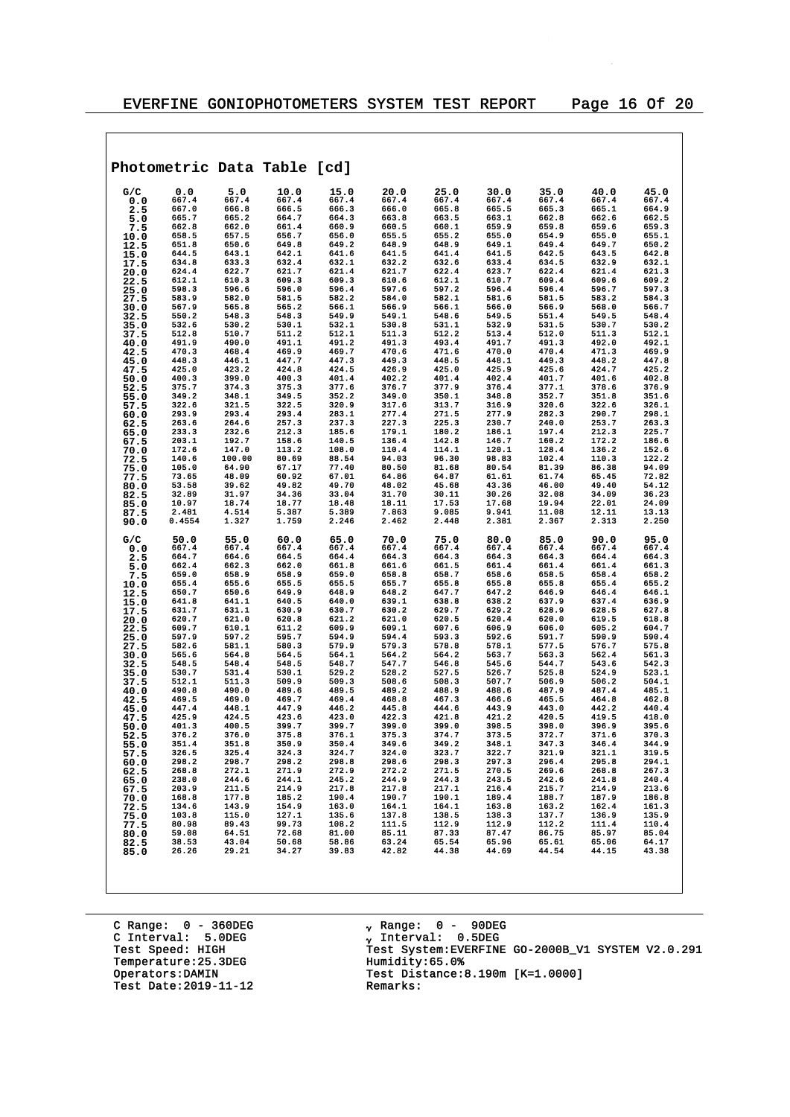$\overline{\phantom{a}}$ 

|              |                |                | Photometric Data Table [cd]                                               |                |                                                                |                         |                |                |                                  |                |
|--------------|----------------|----------------|---------------------------------------------------------------------------|----------------|----------------------------------------------------------------|-------------------------|----------------|----------------|----------------------------------|----------------|
| G/C          | 0.0            | 5.0            | 10.0                                                                      | 15.0           | 20.0                                                           | 25.0                    | 30.0           | 35.0           | 40.0                             | 45.0           |
| 0.0          | 667.4          | 667.4          | 667.4                                                                     | 667.4          | 667.4                                                          | 667.4                   | 667.4          | 667.4          | 667.4                            | 667.4          |
| 2.5          | 667.0          | 666.8          | 666.5                                                                     | 666.3          | 666.0                                                          | 665.8                   | 665.5          | 665.3          | 665.1                            | 664.9          |
| 5.0          | 665.7<br>662.8 | 665.2<br>662.0 | 664.7<br>661.4                                                            | 664.3<br>660.9 | 663.8<br>660.5                                                 | 663.5<br>660.1          | 663.1<br>659.9 | 662.8<br>659.8 | 662.6<br>659.6                   | 662.5<br>659.3 |
| 7.5<br>10.0  | 658.5          | 657.5          | 656.7                                                                     | 656.0          | 655.5                                                          | 655.2                   | 655.0          | 654.9          | 655.0                            | 655.1          |
| 12.5         | 651.8          | 650.6          | 649.8                                                                     | 649.2          | 648.9                                                          | 648.9                   | 649.1          | 649.4          | 649.7                            | 650.2          |
| 15.0         | 644.5          | 643.1          | 642.1                                                                     | 641.6          | 641.5                                                          | 641.4                   | 641.5          | 642.5          | 643.5                            | 642.8          |
| 17.5         | 634.8          | 633.3          | 632.4                                                                     | 632.1          | 632.2                                                          | 632.6                   | 633.4          | 634.5          | 632.9                            | 632.1          |
| 20.0         | 624.4          | 622.7<br>610.3 | 621.7                                                                     | 621.4          | 621.7<br>610.6                                                 | 622.4<br>612.1          | 623.7          | 622.4          | 621.4                            | 621.3          |
| 22.5<br>25.0 | 612.1<br>598.3 | 596.6          | 609.3<br>596.0                                                            | 609.3<br>596.4 | 597.6                                                          | 597.2                   | 610.7<br>596.4 | 609.4<br>596.4 | 609.6<br>596.7                   | 609.2<br>597.3 |
| 27.5         | 583.9          | 582.0          | 581.5                                                                     | 582.2          | 584.0                                                          | 582.1                   | 581.6          | 581.5          | 583.2                            | 584.3          |
| 30.0         | 567.9          | 565.8          | 565.2                                                                     | 566.1          | 566.9                                                          | 566.1                   | 566.0          | 566.9          | 568.0                            | 566.7          |
| 32.5         | 550.2          | 548.3          | 548.3                                                                     | 549.9          | 549.1                                                          | 548.6                   | 549.5          | 551.4          | 549.5                            | 548.4          |
| 35.0         | 532.6<br>512.8 | 530.2<br>510.7 | 530.1<br>511.2                                                            | 532.1<br>512.1 | 530.8<br>511.3                                                 | 531.1<br>512.2          | 532.9<br>513.4 | 531.5<br>512.0 | 530.7<br>511.3                   | 530.2<br>512.1 |
| 37.5<br>40.0 | 491.9          | 490.0          | 491.1                                                                     | 491.2          | 491.3                                                          | 493.4                   | 491.7          | 491.3          | 492.0                            | 492.1          |
| 42.5         | 470.3          | 468.4          | 469.9                                                                     | 469.7          | 470.6                                                          | 471.6                   | 470.0          | 470.4          | 471.3                            | 469.9          |
| 45.0         | 448.3          | 446.1          | 447.7                                                                     | 447.3          | 449.3                                                          | 448.5                   | 448.1          | 449.3          | 448.2                            | 447.8          |
| 47.5         | 425.0          | 423.2          | 424.8                                                                     | 424.5          | 426.9                                                          | 425.0                   | 425.9          | 425.6          | 424.7                            | 425.2          |
| 50.0         | 400.3          | 399.0          | 400.3                                                                     | 401.4          | 402.2                                                          | 401.4                   | 402.4          | 401.7          | 401.6                            | 402.8          |
| 52.5<br>55.0 | 375.7<br>349.2 | 374.3<br>348.1 | 375.3<br>349.5                                                            | 377.6<br>352.2 | 376.7<br>349.0                                                 | 377.9<br>350.1          | 376.4<br>348.8 | 377.1<br>352.7 | 378.6<br>351.8                   | 376.9<br>351.6 |
| 57.5         | 322.6          | 321.5          | 322.5                                                                     | 320.9          | 317.6                                                          | 313.7                   | 316.9          | 320.6          | 322.6                            | 326.1          |
| 60.0         | 293.9          | 293.4          | 293.4                                                                     | 283.1          | 277.4                                                          | 271.5                   | 277.9          | 282.3          | 290.7                            | 298.1          |
| 62.5         | 263.6          | 264.6          | 257.3                                                                     | 237.3          | 227.3                                                          | 225.3                   | 230.7          | 240.0          | 253.7                            | 263.3          |
| 65.0         | 233.3          | 232.6          | 212.3                                                                     | 185.6          | 179.1                                                          | 180.2                   | 186.1          | 197.4          | 212.3<br>172.2                   | 225.7          |
| 67.5         | 203.1<br>172.6 | 192.7<br>147.0 | 158.6<br>113.2                                                            | 140.5<br>108.0 | 136.4<br>110.4                                                 | 142.8<br>114.1          | 146.7<br>120.1 | 160.2<br>128.4 | 136.2                            | 186.6<br>152.6 |
| 70.0<br>72.5 | 140.6          | 100.00         | 80.69                                                                     | 88.54          | 94.03                                                          | 96.30                   | 98.83          | 102.4          | 110.3                            | 122.2          |
| 75.0         | 105.0          | 64.90          | 67.17                                                                     | 77.40          | 80.50                                                          | 81.68                   | 80.54          | 81.39          | 86.38                            | 94.09          |
| 77.5         | 73.65          | 48.09          | 60.92                                                                     | 67.01          | 64.86                                                          | 64.87                   | 61.61          | 61.74          | 65.45                            | 72.82          |
| 80.0         | 53.58          | 39.62          | 49.82                                                                     | 49.70          | 48.02                                                          | 45.68                   | 43.36          | 46.00          | 49.40                            | 54.12          |
| 82.5         | 32.89<br>10.97 | 31.97<br>18.74 | 34.36<br>18.77                                                            | 33.04<br>18.48 | 31.70<br>18.11                                                 | 30.11<br>17.53          | 30.26<br>17.68 | 32.08<br>19.94 | 34.09<br>22.01                   | 36.23<br>24.09 |
| 85.0<br>87.5 | 2.481          | 4.514          | 5.387                                                                     | 5.389          | 7.863                                                          | 9.085                   | 9.941          | 11.08          | 12.11                            | 13.13          |
| 90.0         | 0.4554         | 1.327          | 1.759                                                                     | 2.246          | 2.462                                                          | 2.448                   | 2.381          | 2.367          | 2.313                            | 2.250          |
| G/C          | 50.0           | 55.0           | 60.0                                                                      | 65.0           | 70.0                                                           | 75.0                    | 80.0           | 85.0           | 90.0                             | 95.0           |
| 0.0          | 667.4<br>664.7 | 667.4<br>664.6 | 667.4<br>664.5                                                            | 667.4<br>664.4 | 667.4<br>664.3                                                 | 667.4<br>664.3          | 667.4<br>664.3 | 667.4<br>664.3 | 667.4<br>664.4                   | 667.4<br>664.3 |
| 2.5<br>5.0   | 662.4          | 662.3          | 662.0                                                                     | 661.8          | 661.6                                                          | 661.5                   | 661.4          | 661.4          | 661.4                            | 661.3          |
| 7.5          | 659.0          | 658.9          | 658.9                                                                     | 659.0          | 658.8                                                          | 658.7                   | 658.6          | 658.5          | 658.4                            | 658.2          |
| 10.0         | 655.4          | 655.6          | 655.5                                                                     | 655.5          | 655.7                                                          | 655.8                   | 655.8          | 655.8          | 655.4                            | 655.2          |
| 12.5         | 650.7          | 650.6          | 649.9                                                                     | 648.9          | 648.2                                                          | 647.7                   | 647.2          | 646.9          | 646.4                            | 646.1          |
| 15.0<br>17.5 | 641.8<br>631.7 | 641.1<br>631.1 | 640.5<br>630.9                                                            | 640.0<br>630.7 | 639.1<br>630.2                                                 | 638.8<br>629.7          | 638.2<br>629.2 | 637.9<br>628.9 | 637.4<br>628.5                   | 636.9<br>627.8 |
| 20.0         | 620.7          | 621.0          | 620.8                                                                     | 621.2          | 621.0                                                          | 620.5                   | 620.4          | 620.0          | 619.5                            | 618.8          |
| 22.5         | 609.7          | 610.1          | 611.2                                                                     | 609.9          | 609.1                                                          | 607.6                   | 606.9          | 606.0          | 605.2                            | 604.7          |
| 25.0         | 597.9          | 597.2          | 595.7                                                                     | 594.9          | 594.4                                                          | 593.3                   | 592.6          | 591.7          | 590.9                            | 590.4          |
| 27.5         | 582.6          | 581.1          | 580.3                                                                     | 579.9          | 579.3                                                          | 578.8                   | 578.1          | 577.5          | 576.7                            | 575.8          |
| 30.0<br>32.5 | 565.6<br>548.5 | 564.8<br>548.4 | 564.5<br>548.5                                                            | 564.1<br>548.7 | 564.2<br>547.7                                                 | 564.2<br>546.8          | 563.7<br>545.6 | 563.3<br>544.7 | 562.4<br>543.6                   | 561.3<br>542.3 |
| 35.0         | 530.7          | 531.4          | 530.1                                                                     | 529.2          | 528.2                                                          | 527.5                   | 526.7          | 525.8          | 524.9                            | 523.1          |
| 37.5         | 512.1          | 511.3          | 509.9                                                                     | 509.3          | 508.6                                                          | 508.3                   | 507.7          | 506.9          | 506.2                            | 504.1          |
| 40.0         | 490.8          | 490.0          | 489.6                                                                     | 489.5          | 489.2                                                          | 488.9                   | 488.6          | 487.9          | 487.4                            | 485.1          |
| 42.5         | 469.5<br>447.4 | 469.0<br>448.1 | 469.7<br>447.9                                                            | 469.4<br>446.2 | 468.8<br>445.8                                                 | 467.3<br>444.6          | 466.6<br>443.9 | 465.5<br>443.0 | 464.8<br>442.2                   | 462.8<br>440.4 |
| 45.0<br>47.5 | 425.9          | 424.5          | 423.6                                                                     | 423.0          | 422.3                                                          | 421.8                   | 421.2          | 420.5          | 419.5                            | 418.0          |
| 50.0         | 401.3          | 400.5          | 399.7                                                                     | 399.7          | 399.0                                                          | 399.0                   | 398.5          | 398.0          | 396.9                            | 395.6          |
| 52.5         | 376.2          | 376.0          | 375.8                                                                     | 376.1          | 375.3                                                          | 374.7                   | 373.5          | 372.7          | 371.6                            | 370.3          |
| 55.0         | 351.4          | 351.8          | 350.9                                                                     | 350.4          | 349.6                                                          | 349.2                   | 348.1          | 347.3          | 346.4                            | 344.9          |
| 57.5         | 326.5          | 325.4          |                                                                           | 324.7          | 324.0<br>298.6                                                 | 323.7                   | 322.7          | 321.9          | 321.1<br>295.8                   | 319.5          |
| 60.0<br>62.5 | 298.2<br>268.8 | 298.7<br>272.1 | $298.2$<br>$271.9$<br>$244.7$<br>$27$                                     | 298.8<br>272.9 | 272.2                                                          | 298.3<br>271.5          | 297.3<br>270.5 | 296.4<br>269.6 | 268.8                            | 294.1<br>267.3 |
| 65.0         | 238.0          | 244.6          |                                                                           | 245.2          |                                                                | 244.3                   | 243.5          | 242.6          | 241.8                            | 240.4          |
| 67.5         | 203.9          | 211.5          |                                                                           | 217.8          | 244.9<br>217.8                                                 | 217.1                   | 216.4          | 215.7          | 214.9                            | 213.6          |
| 70.0         | 168.8          | 177.8          |                                                                           | 190.4          | 190.7                                                          | 190.1                   | 189.4          | 188.7          | 187.9                            | 186.8          |
| 72.5         | 134.6          | 143.9          |                                                                           | 163.0<br>135.6 |                                                                | 164.1                   | 163.8          | 163.2          | 162.4<br>136.9<br>111.4<br>85.97 | 161.3          |
| 75.0<br>77.5 | 103.8<br>80.98 | 115.0<br>89.43 |                                                                           | 108.2          |                                                                | 104.1<br>138.5<br>112.9 | 138.3<br>112.9 | 137.7<br>112.2 |                                  | 135.9<br>110.4 |
| 80.0         | 59.08          | 64.51          |                                                                           | 81.00          |                                                                | 87.33                   | 87.47          | 86.75          | 85.97                            | 85.04          |
| 82.5         | 38.53          | 43.04          | $213.2$<br>$154.9$<br>$127.1$<br>$99.73$<br>$72.68$<br>$50.68$<br>$34.27$ | 58.86          | $164.1$<br>$137.8$<br>$111.5$<br>$85.11$<br>$63.24$<br>$42.82$ | 65.54                   | 65.96          | 65.61          | 65.06                            | 64.17          |
| 85.0         | 26.26          | 29.21          |                                                                           | 39.83          |                                                                | 44.38                   | 44.69          | 44.54          | 44.15                            | 43.38          |
|              |                |                |                                                                           |                |                                                                |                         |                |                |                                  |                |

C Range: 0 - 360DEG C Interval: 5.0DEG Temperature: 25.3DEG<br>Operators:DAMIN Test Date:  $2019-11-12$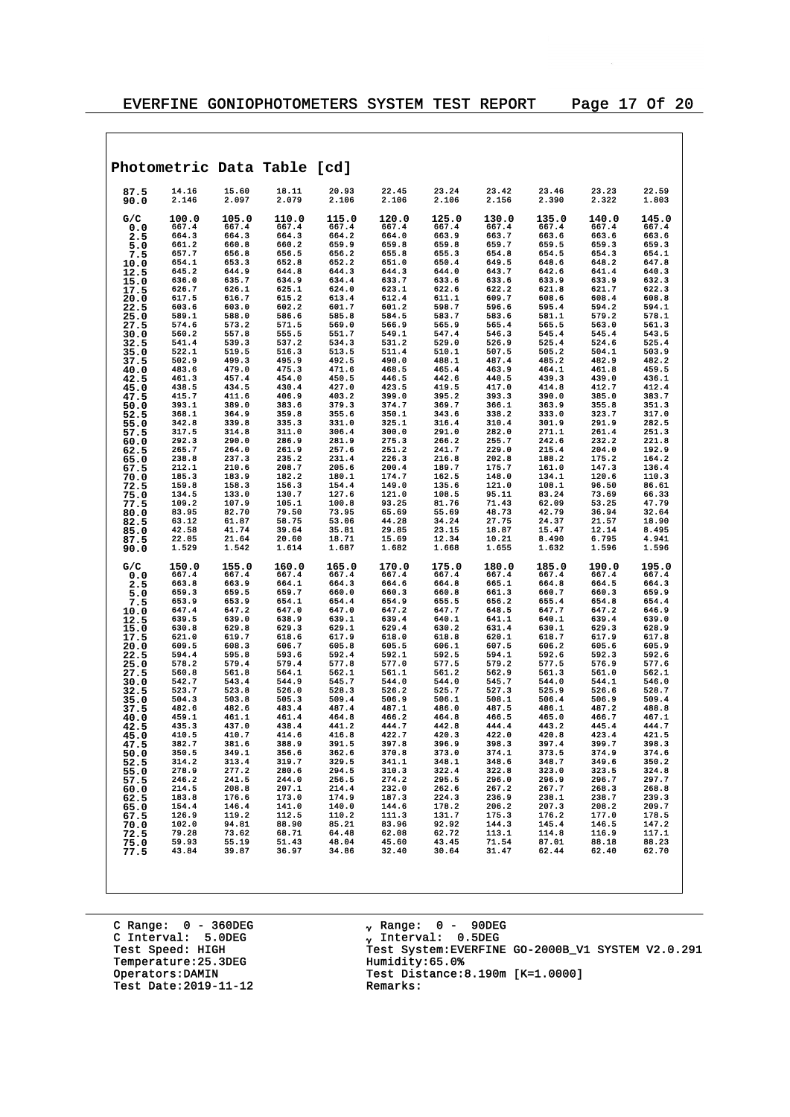|              |                |                | Photometric Data Table [cd] |                |                |                |                |                |                |                |
|--------------|----------------|----------------|-----------------------------|----------------|----------------|----------------|----------------|----------------|----------------|----------------|
| 87.5<br>90.0 | 14.16<br>2.146 | 15.60<br>2.097 | 18.11<br>2.079              | 20.93<br>2.106 | 22.45<br>2.106 | 23.24<br>2.106 | 23.42<br>2.156 | 23.46<br>2.390 | 23.23<br>2.322 | 22.59<br>1.803 |
| G/C<br>0.0   | 100.0<br>667.4 | 105.0<br>667.4 | 110.0<br>667.4              | 115.0<br>667.4 | 120.0<br>667.4 | 125.0<br>667.4 | 130.0<br>667.4 | 135.0<br>667.4 | 140.0<br>667.4 | 145.0<br>667.4 |
| 2.5          | 664.3          | 664.3          | 664.3                       | 664.2          | 664.0          | 663.9          | 663.7          | 663.6          | 663.6          | 663.6          |
| 5.0          | 661.2          | 660.8          | 660.2                       | 659.9          | 659.8          | 659.8          | 659.7          | 659.5          | 659.3          | 659.3          |
| 7.5          | 657.7          | 656.8          | 656.5                       | 656.2          | 655.8          | 655.3          | 654.8          | 654.5          | 654.3          | 654.1          |
| 10.0         | 654.1          | 653.3          | 652.8                       | 652.2          | 651.0          | 650.4          | 649.5          | 648.6          | 648.2          | 647.8          |
| 12.5         | 645.2<br>636.0 | 644.9<br>635.7 | 644.8<br>634.9              | 644.3<br>634.4 | 644.3<br>633.7 | 644.0<br>633.6 | 643.7<br>633.6 | 642.6<br>633.9 | 641.4<br>633.9 | 640.3<br>632.3 |
| 15.0<br>17.5 | 626.7          | 626.1          | 625.1                       | 624.0          | 623.1          | 622.6          | 622.2          | 621.8          | 621.7          | 622.3          |
| 20.0         | 617.5          | 616.7          | 615.2                       | 613.4          | 612.4          | 611.1          | 609.7          | 608.6          | 608.4          | 608.8          |
| 22.5         | 603.6          | 603.0          | 602.2                       | 601.7          | 601.2          | 598.7          | 596.6          | 595.4          | 594.2          | 594.1          |
| 25.0         | 589.1          | 588.0          | 586.6                       | 585.8          | 584.5          | 583.7          | 583.6          | 581.1          | 579.2          | 578.1          |
| 27.5         | 574.6          | 573.2          | 571.5                       | 569.0          | 566.9          | 565.9          | 565.4          | 565.5          | 563.0          | 561.3          |
| 30.0         | 560.2<br>541.4 | 557.8<br>539.3 | 555.5<br>537.2              | 551.7<br>534.3 | 549.1<br>531.2 | 547.4<br>529.0 | 546.3<br>526.9 | 545.4<br>525.4 | 545.4<br>524.6 | 543.5<br>525.4 |
| 32.5<br>35.0 | 522.1          | 519.5          | 516.3                       | 513.5          | 511.4          | 510.1          | 507.5          | 505.2          | 504.1          | 503.9          |
| 37.5         | 502.9          | 499.3          | 495.9                       | 492.5          | 490.0          | 488.1          | 487.4          | 485.2          | 482.9          | 482.2          |
| 40.0         | 483.6          | 479.0          | 475.3                       | 471.6          | 468.5          | 465.4          | 463.9          | 464.1          | 461.8          | 459.5          |
| 42.5         | 461.3          | 457.4          | 454.0                       | 450.5          | 446.5          | 442.6          | 440.5          | 439.3          | 439.0          | 436.1          |
| 45.0         | 438.5          | 434.5<br>411.6 | 430.4                       | 427.0          | 423.5          | 419.5          | 417.0<br>393.3 | 414.8<br>390.0 | 412.7          | 412.4          |
| 47.5<br>50.0 | 415.7<br>393.1 | 389.0          | 406.9<br>383.6              | 403.2<br>379.3 | 399.0<br>374.7 | 395.2<br>369.7 | 366.1          | 363.9          | 385.0<br>355.8 | 383.7<br>351.3 |
| 52.5         | 368.1          | 364.9          | 359.8                       | 355.6          | 350.1          | 343.6          | 338.2          | 333.0          | 323.7          | 317.0          |
| 55.0         | 342.8          | 339.8          | 335.3                       | 331.0          | 325.1          | 316.4          | 310.4          | 301.9          | 291.9          | 282.5          |
| 57.5         | 317.5          | 314.8          | 311.0                       | 306.4          | 300.0          | 291.0          | 282.0          | 271.1          | 261.4          | 251.3          |
| 60.0         | 292.3          | 290.0          | 286.9                       | 281.9          | 275.3          | 266.2          | 255.7          | 242.6          | 232.2          | 221.8          |
| 62.5         | 265.7<br>238.8 | 264.0<br>237.3 | 261.9<br>235.2              | 257.6<br>231.4 | 251.2<br>226.3 | 241.7<br>216.8 | 229.0<br>202.8 | 215.4<br>188.2 | 204.0<br>175.2 | 192.9<br>164.2 |
| 65.0<br>67.5 | 212.1          | 210.6          | 208.7                       | 205.6          | 200.4          | 189.7          | 175.7          | 161.0          | 147.3          | 136.4          |
| 70.0         | 185.3          | 183.9          | 182.2                       | 180.1          | 174.7          | 162.5          | 148.0          | 134.1          | 120.6          | 110.3          |
| 72.5         | 159.8          | 158.3          | 156.3                       | 154.4          | 149.0          | 135.6          | 121.0          | 108.1          | 96.50          | 86.61          |
| 75.0         | 134.5          | 133.0          | 130.7                       | 127.6          | 121.0          | 108.5          | 95.11          | 83.24          | 73.69          | 66.33          |
| 77.5         | 109.2          | 107.9          | 105.1                       | 100.8          | 93.25          | 81.76          | 71.43          | 62.09          | 53.25          | 47.79          |
| 80.0<br>82.5 | 83.95<br>63.12 | 82.70<br>61.87 | 79.50<br>58.75              | 73.95<br>53.06 | 65.69<br>44.28 | 55.69<br>34.24 | 48.73<br>27.75 | 42.79<br>24.37 | 36.94<br>21.57 | 32.64<br>18.90 |
| 85.0         | 42.58          | 41.74          | 39.64                       | 35.81          | 29.85          | 23.15          | 18.87          | 15.47          | 12.14          | 8.495          |
| 87.5         | 22.05          | 21.64          | 20.60                       | 18.71          | 15.69          | 12.34          | 10.21          | 8.490          | 6.795          | 4.941          |
| 90.0         | 1.529          | 1.542          | 1.614                       | 1.687          | 1.682          | 1.668          | 1.655          | 1.632          | 1.596          | 1.596          |
| G/C          | 150.0          | 155.0          | 160.0                       | 165.0          | 170.0          | 175.0          | 180.0          | 185.0          | 190.0          | 195.0          |
| 0.0          | 667.4<br>663.8 | 667.4<br>663.9 | 667.4<br>664.1              | 667.4<br>664.3 | 667.4<br>664.6 | 667.4<br>664.8 | 667.4<br>665.1 | 667.4<br>664.8 | 667.4<br>664.5 | 667.4<br>664.3 |
| 2.5<br>5.0   | 659.3          | 659.5          | 659.7                       | 660.0          | 660.3          | 660.8          | 661.3          | 660.7          | 660.3          | 659.9          |
| 7.5          | 653.9          | 653.9          | 654.1                       | 654.4          | 654.9          | 655.5          | 656.2          | 655.4          | 654.8          | 654.4          |
| 10.0         | 647.4          | 647.2          | 647.0                       | 647.0          | 647.2          | 647.7          | 648.5          | 647.7          | 647.2          | 646.9          |
| 12.5         | 639.5          | 639.0          | 638.9                       | 639.1          | 639.4          | 640.1          | 641.1          | 640.1          | 639.4          | 639.0          |
| 15.0         | 630.8          | 629.8<br>619.7 | 629.3                       | 629.1<br>617.9 | 629.4          | 630.2<br>618.8 | 631.4<br>620.1 | 630.1          | 629.3<br>617.9 | 628.9          |
| 17.5<br>20.0 | 621.0<br>609.5 | 608.3          | 618.6<br>606.7              | 605.8          | 618.0<br>605.5 | 606.1          | 607.5          | 618.7<br>606.2 | 605.6          | 617.8<br>605.9 |
| 22.5         | 594.4          | 595.8          | 593.6                       | 592.4          | 592.1          | 592.5          | 594.1          | 592.6          | 592.3          | 592.6          |
| 25.0         | 578.2          | 579.4          | 579.4                       | 577.8          | 577.0          | 577.5          | 579.2          | 577.5          | 576.9          | 577.6          |
| 27.5         | 560.8          | 561.8          | 564.1                       | 562.1          | 561.1          | 561.2          | 562.9          | 561.3          | 561.0          | 562.1          |
| 30.0         | 542.7          | 543.4          | 544.9                       | 545.7          | 544.0          | 544.0          | 545.7          | 544.0          | 544.1<br>526.6 | 546.0          |
| 32.5<br>35.0 | 523.7<br>504.3 | 523.8<br>503.8 | 526.0<br>505.3              | 528.3<br>509.4 | 526.2<br>506.9 | 525.7<br>506.1 | 527.3<br>508.1 | 525.9<br>506.4 | 506.9          | 528.7<br>509.4 |
| 37.5         | 482.6          | 482.6          | 483.4                       | 487.4          | 487.1          | 486.0          | 487.5          | 486.1          | 487.2          | 488.8          |
| 40.0         | 459.1          | 461.1          | 461.4                       | 464.8          | 466.2          | 464.8          | 466.5          | 465.0          | 466.7          | 467.1          |
| 42.5         | 435.3          | 437.0          | 438.4                       | 441.2          | 444.7          | 442.8          | 444.4          | 443.2          | 445.4          | 444.7          |
| 45.0         | 410.5          | 410.7          | 414.6                       | 416.8          | 422.7          | 420.3          | 422.0          | 420.8          | 423.4          | 421.5          |
| 47.5         | 382.7<br>350.5 | 381.6<br>349.1 | 388.9<br>356.6              | 391.5<br>362.6 | 397.8<br>370.8 | 396.9<br>373.0 | 398.3<br>374.1 | 397.4<br>373.5 | 399.7<br>374.9 | 398.3<br>374.6 |
| 50.0<br>52.5 | 314.2          | 313.4          | 319.7                       | 329.5          | 341.1          | 348.1          | 348.6          | 348.7          | 349.6          | 350.2          |
| 55.0         | 278.9          | 277.2          | 280.6                       | 294.5          | 310.3          | 322.4          | 322.8          | 323.0          | 323.5          | 324.8          |
| 57.5         | 246.2          | 241.5          | 244.0                       | 256.5          | 274.2          | 295.5          | 296.0          | 296.9          | 296.7          | 297.7          |
| 60.0         | 214.5          | 208.8          | 207.1                       | 214.4          | 232.0          | 262.6          | 267.2          | 267.7          | 268.3          | 268.8          |
| 62.5         | 183.8          | 176.6          | 173.0                       | 174.9<br>140.0 | 187.3          | 224.3          | 236.9          | 238.1          | 238.7          | 239.3          |
| 65.0         | 154.4<br>126.9 | 146.4<br>119.2 | 141.0<br>112.5              | 110.2          | 144.6<br>111.3 | 178.2<br>131.7 | 206.2<br>175.3 | 207.3<br>176.2 | 208.2<br>177.0 | 209.7<br>178.5 |
| 67.5<br>70.0 | 102.0          | 94.81          | 88.90                       | 85.21          | 83.96          | 92.92          | 144.3          | 145.4          | 146.5          | 147.2          |
| 72.5         | 79.28          | 73.62          | 68.71                       | 64.48          | 62.08          | 62.72          | 113.1          | 114.8          | 116.9          | 117.1          |
| 75.0         | 59.93          | 55.19          | 51.43                       | 48.04          | 45.60          | 43.45          | 71.54          | 87.01          | 88.18          | 88.23          |
| 77.5         | 43.84          | 39.87          | 36.97                       | 34.86          | 32.40          | 30.64          | 31.47          | 62.44          | 62.40          | 62.70          |
|              |                |                |                             |                |                |                |                |                |                |                |

C Range: 0 - 360DEG C Interval: 5.0DEG Temperature: 25.3DEG<br>Operators:DAMIN Test Date:  $2019-11-12$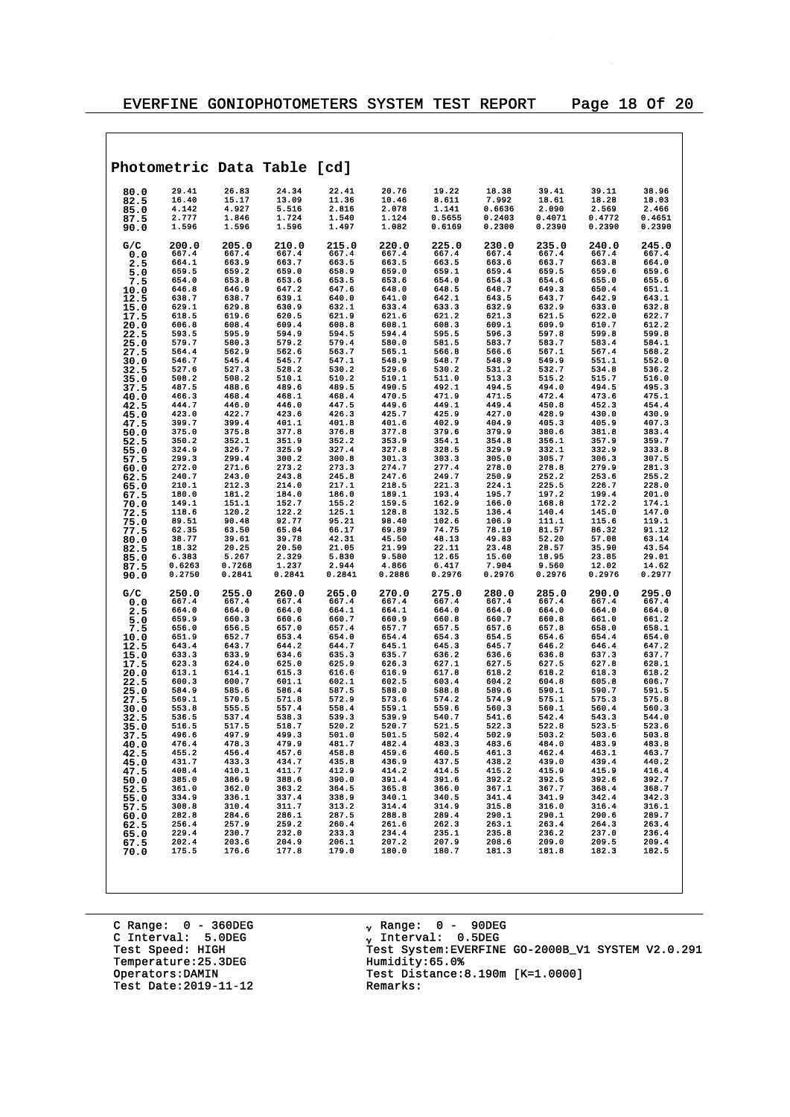|              | Photometric Data Table [cd] |                |                                           |                                                                                   |                    |                                                                |                  |                 |                 |                 |
|--------------|-----------------------------|----------------|-------------------------------------------|-----------------------------------------------------------------------------------|--------------------|----------------------------------------------------------------|------------------|-----------------|-----------------|-----------------|
| 80.0         | 29.41                       | 26.83          | 24.34                                     | 22.41                                                                             | 20.76              | 19.22                                                          | 18.38            | 39.41           | 39.11           | 38.96           |
| 82.5         | 16.40                       | 15.17          | 13.09                                     | 11.36                                                                             | 10.46              | 8.611                                                          | 7.992            | 18.61           | 18.28           | 18.03           |
| 85.0         | 4.142<br>2.777              | 4.927<br>1.846 | 5.516<br>1.724                            | 2.816<br>1.540                                                                    | 2.078<br>1.124     | 1.141<br>0.5655                                                | 0.6636<br>0.2403 | 2.090<br>0.4071 | 2.569<br>0.4772 | 2.466<br>0.4651 |
| 87.5<br>90.0 | 1.596                       | 1.596          | 1.596                                     | 1.497                                                                             | 1.082              | 0.6169                                                         | 0.2300           | 0.2390          | 0.2390          | 0.2390          |
| G/C          | 200.0                       | 205.0          | 210.0                                     | 215.0                                                                             | 220.0              | 225.0                                                          | 230.0            | 235.0           | 240.0           | 245.0           |
| 0.0          | 667.4                       | 667.4          | 667.4                                     | 667.4                                                                             | 667.4              | 667.4<br>663.5                                                 | 667.4            | 667.4           | 667.4           | 667.4<br>664.0  |
| 2.5<br>5.0   | 664.1<br>659.5              | 663.9<br>659.2 | 663.7<br>659.0                            | 663.5<br>658.9                                                                    | 663.5<br>659.0     | 659.1                                                          | 663.6<br>659.4   | 663.7<br>659.5  | 663.8<br>659.6  | 659.6           |
| 7.5          | 654.0                       | 653.8          | 653.6                                     | 653.5                                                                             | 653.6              | 654.0                                                          | 654.3            | 654.6           | 655.0           | 655.6           |
| 10.0         | 646.8                       | 646.9          | 647.2                                     | 647.6                                                                             | 648.0              | 648.5                                                          | 648.7            | 649.3           | 650.4           | 651.1           |
| 12.5         | 638.7<br>629.1              | 638.7<br>629.8 | 639.1<br>630.9                            | 640.0<br>632.1                                                                    | 641.0<br>633.4     | 642.1<br>633.3                                                 | 643.5<br>632.9   | 643.7<br>632.9  | 642.9<br>633.0  | 643.1<br>632.8  |
| 15.0<br>17.5 | 618.5                       | 619.6          | 620.5                                     | 621.9                                                                             | 621.6              | 621.2                                                          | 621.3            | 621.5           | 622.0           | 622.7           |
| 20.0         | 606.8                       | 608.4          | 609.4                                     | 608.8                                                                             | 608.1              | 608.3                                                          | 609.1            | 609.9           | 610.7           | 612.2           |
| 22.5         | 593.5                       | 595.9          | 594.9                                     | 594.5                                                                             | 594.4              | 595.5                                                          | 596.3            | 597.8           | 599.8           | 599.8           |
| 25.0<br>27.5 | 579.7<br>564.4              | 580.3<br>562.9 | 579.2<br>562.6                            | 579.4<br>563.7                                                                    | 580.0<br>565.1     | 581.5<br>566.8                                                 | 583.7<br>566.6   | 583.7<br>567.1  | 583.4<br>567.4  | 584.1<br>568.2  |
| 30.0         | 546.7                       | 545.4          | 545.7                                     | 547.1                                                                             | 548.9              | 548.7                                                          | 548.9            | 549.9           | 551.1           | 552.0           |
| 32.5         | 527.6                       | 527.3          | 528.2                                     | 530.2                                                                             | 529.6              | 530.2                                                          | 531.2            | 532.7           | 534.8           | 536.2           |
| 35.0         | 508.2<br>487.5              | 508.2<br>488.6 | 510.1<br>489.6                            | 510.2<br>489.5                                                                    | 510.1<br>490.5     | 511.0<br>492.1                                                 | 513.3<br>494.5   | 515.2<br>494.0  | 515.7<br>494.5  | 516.0<br>495.3  |
| 37.5<br>40.0 | 466.3                       | 468.4          | 468.1                                     | 468.4                                                                             | 470.5              | 471.9                                                          | 471.5            | 472.4           | 473.6           | 475.1           |
| 42.5         | 444.7                       | 446.0          | 446.0                                     | 447.5                                                                             | 449.6              | 449.1                                                          | 449.4            | 450.8           | 452.3           | 454.4           |
| 45.0         | 423.0                       | 422.7          | 423.6                                     | 426.3                                                                             | 425.7              | 425.9                                                          | 427.0            | 428.9           | 430.0           | 430.9           |
| 47.5<br>50.0 | 399.7<br>375.0              | 399.4<br>375.8 | 401.1<br>377.8                            | 401.8<br>376.8                                                                    | 401.6<br>377.8     | 402.9<br>379.6                                                 | 404.9<br>379.9   | 405.3<br>380.6  | 405.9<br>381.8  | 407.3<br>383.4  |
| 52.5         | 350.2                       | 352.1          | 351.9                                     | 352.2                                                                             | 353.9              | 354.1                                                          | 354.8            | 356.1           | 357.9           | 359.7           |
| 55.0         | 324.9                       | 326.7          | 325.9                                     | 327.4                                                                             | 327.8              | 328.5                                                          | 329.9            | 332.1           | 332.9           | 333.8           |
| 57.5         | 299.3<br>272.0              | 299.4<br>271.6 | 300.2<br>273.2                            | 300.8<br>273.3                                                                    | 301.3<br>274.7     | 303.3<br>277.4                                                 | 305.0<br>278.0   | 305.7<br>278.8  | 306.3<br>279.9  | 307.5<br>281.3  |
| 60.0<br>62.5 | 240.7                       | 243.0          | 243.8                                     | 245.8                                                                             | 247.6              | 249.7                                                          | 250.9            | 252.2           | 253.6           | 255.2           |
| 65.0         | 210.1                       | 212.3          | 214.0                                     | 217.1                                                                             | 218.5              | 221.3                                                          | 224.1            | 225.5           | 226.7           | 228.0           |
| 67.5         | 180.0                       | 181.2          | 184.0                                     | 186.0                                                                             | 189.1              | 193.4                                                          | 195.7            | 197.2           | 199.4           | 201.0           |
| 70.0<br>72.5 | 149.1<br>118.6              | 151.1<br>120.2 | 152.7<br>122.2                            | 155.2<br>125.1                                                                    | 159.5<br>128.8     | 162.9<br>132.5                                                 | 166.0<br>136.4   | 168.8<br>140.4  | 172.2<br>145.0  | 174.1<br>147.0  |
| 75.0         | 89.51                       | 90.48          | 92.77                                     | 95.21                                                                             | 98.40              | 102.6                                                          | 106.9            | 111.1           | 115.6           | 119.1           |
| 77.5         | 62.35                       | 63.50          | 65.04                                     | 66.17                                                                             | 69.89              | 74.75                                                          | 78.10            | 81.57           | 86.32           | 91.12           |
| 80.0<br>82.5 | 38.77<br>18.32              | 39.61<br>20.25 | 39.78<br>20.50                            | 42.31<br>21.05                                                                    | 45.50<br>21.99     | 48.13<br>22.11                                                 | 49.83<br>23.48   | 52.20<br>28.57  | 57.08<br>35.90  | 63.14<br>43.54  |
| 85.0         | 6.383                       | 5.267          | 2.329                                     | 5.830                                                                             | 9.580              | 12.65                                                          | 15.60            | 18.95           | 23.85           | 29.01           |
| 87.5         | 0.6263                      | 0.7268         | 1.237                                     | 2.944                                                                             | 4.866              | 6.417                                                          | 7.904            | 9.560           | 12.02           | 14.62           |
| 90.0         | 0.2750                      | 0.2841         | 0.2841                                    | 0.2841                                                                            | 0.2886             | 0.2976                                                         | 0.2976           | 0.2976          | 0.2976          | 0.2977          |
| G/C<br>0.0   | 250.0<br>667.4              | 255.0<br>667.4 | 260.0<br>667.4                            | 265.0<br>667.4                                                                    | 270.0<br>667.4     | 275.0<br>667.4                                                 | 280.0<br>667.4   | 285.0<br>667.4  | 290.0<br>667.4  | 295.0<br>667.4  |
| 2.5          | 664.0                       | 664.0          | 664.0                                     | 664.1                                                                             | 664.1              | 664.0                                                          | 664.0            | 664.0           | 664.0           | 664.0           |
| 5.0          | 659.9                       | 660.3          | 660.6                                     | 660.7                                                                             | 660.9              | 660.8                                                          | 660.7            | 660.8           | 661.0           | 661.2           |
| 7.5          | 656.0<br>651.9              | 656.5<br>652.7 | 657.0<br>653.4                            | 657.4<br>654.0                                                                    | 657.7<br>654.4     | 657.5<br>654.3                                                 | 657.6<br>654.5   | 657.8<br>654.6  | 658.0<br>654.4  | 658.1<br>654.0  |
| 10.0<br>12.5 | 643.4                       | 643.7          | 644.2                                     | 644.7                                                                             | 645.1              | 645.3                                                          | 645.7            | 646.2           | 646.4           | 647.2           |
| 15.0         | 633.3                       | 633.9          | 634.6                                     | 635.3                                                                             | 635.7              | 636.2                                                          | 636.6            | 636.8           | 637.3           | 637.7           |
| 17.5         | 623.3                       | 624.0          | 625.0                                     | 625.9                                                                             | 626.3<br>616.9     | 627.1                                                          | 627.5            | 627.5           | 627.8           | 628.1           |
| 20.0<br>22.5 | 613.1<br>600.3              | 614.1<br>600.7 | 615.3<br>601.1                            | 616.6<br>602.1                                                                    | 602.5              | 617.8<br>603.4                                                 | 618.2<br>604.2   | 618.2<br>604.8  | 618.3<br>605.8  | 618.2<br>606.7  |
| 25.0         | 584.9                       | 585.6          | 586.4                                     | 587.5                                                                             | 588.0              | 588.8                                                          | 589.6            | 590.1           | 590.7           | 591.5           |
| 27.5         | 569.1                       | 570.5          | 571.8                                     | 572.9                                                                             | 573.6              | 574.2                                                          | 574.9            | 575.1           | 575.3           | 575.8           |
| 30.0         | 553.8<br>536.5              | 555.5<br>537.4 | 557.4<br>538.3                            | 558.4<br>539.3                                                                    | 559.1<br>539.9     | 559.6<br>540.7                                                 | 560.3<br>541.6   | 560.1<br>542.4  | 560.4<br>543.3  | 560.3<br>544.0  |
| 32.5<br>35.0 | 516.5                       | 517.5          | 518.7                                     | 520.2                                                                             | 520.7              | 521.5                                                          | 522.3            | 522.8           | 523.5           | 523.6           |
| 37.5         | 496.6                       | 497.9          | 499.3                                     | 501.0                                                                             | 501.5              | 502.4                                                          | 502.9            | 503.2           | 503.6           | 503.8           |
| 40.0         | 476.4                       | 478.3          | 479.9                                     | 481.7                                                                             | 482.4              | 483.3                                                          | 483.6            | 484.0           | 483.9           | 483.8           |
| 42.5<br>45.0 | 455.2<br>431.7              | 456.4<br>433.3 | 457.6<br>434.7                            | 458.8<br>435.8                                                                    | $459.6$<br>$436.9$ | 460.5<br>437.5                                                 | 461.3<br>438.2   | 462.4<br>439.0  | 463.1<br>439.4  | 463.7<br>440.2  |
| 47.5         | 408.4                       | 410.1          | 411.7                                     | 412.9                                                                             | 414.2              | 414.5                                                          | 415.2            | 415.9           | 415.9           | 416.4           |
| 50.0         | 385.0                       | 386.9<br>362.0 | 388.6                                     | 390.0                                                                             | 391.4              | 391.6<br>366.0                                                 | 392.2            | 392.5           | 392.6           | 392.7           |
| 52.5         | 361.0<br>334.9              | 336.1          | 363.2<br>337.4                            | 364.5<br>338.9                                                                    | 365.8<br>340.1     | 340.5                                                          | 367.1<br>341.4   | 367.7<br>341.9  | 368.4<br>342.4  | 368.7<br>342.3  |
| 55.0<br>57.5 | 308.8                       | 310.4          | 311.7                                     |                                                                                   | 314.4              | 314.9                                                          | 315.8            | 316.0           | 316.4           | 316.1           |
| 60.0         | 282.8                       | 284.6          | 286.1                                     |                                                                                   | 288.8              |                                                                | 290.1            | 290.1           | 290.6           | 289.7           |
| 62.5         | 256.4                       | 257.9          |                                           | 260.4                                                                             | 261.6              |                                                                | 263.1            | 263.4           | 264.3           | 263.4           |
| 65.0<br>67.5 | 229.4<br>202.4              | 230.7<br>203.6 | 286.1<br>259.2<br>232.0<br>204.9<br>177.8 | 233.3                                                                             | 234.4<br>207.2     |                                                                | 235.8<br>208.6   | 236.2<br>209.0  | 237.0<br>209.5  | 236.4<br>209.4  |
| 70.0         | 175.5                       | 176.6          | 177.8                                     | $\begin{array}{r} 313.2 \\ 287.5 \\ 260.4 \\ 233.3 \\ 206.1 \\ 179.0 \end{array}$ | 180.0              | $314.9$<br>$289.4$<br>$262.3$<br>$235.1$<br>$207.9$<br>$180.7$ | 181.3            | 181.8           | 182.3           | 182.5           |
|              |                             |                |                                           |                                                                                   |                    |                                                                |                  |                 |                 |                 |

C Range: 0 - 360DEG C Interval: 5.0DEG Temperature: 25.3DEG<br>Operators:DAMIN Test Date:  $2019-11-12$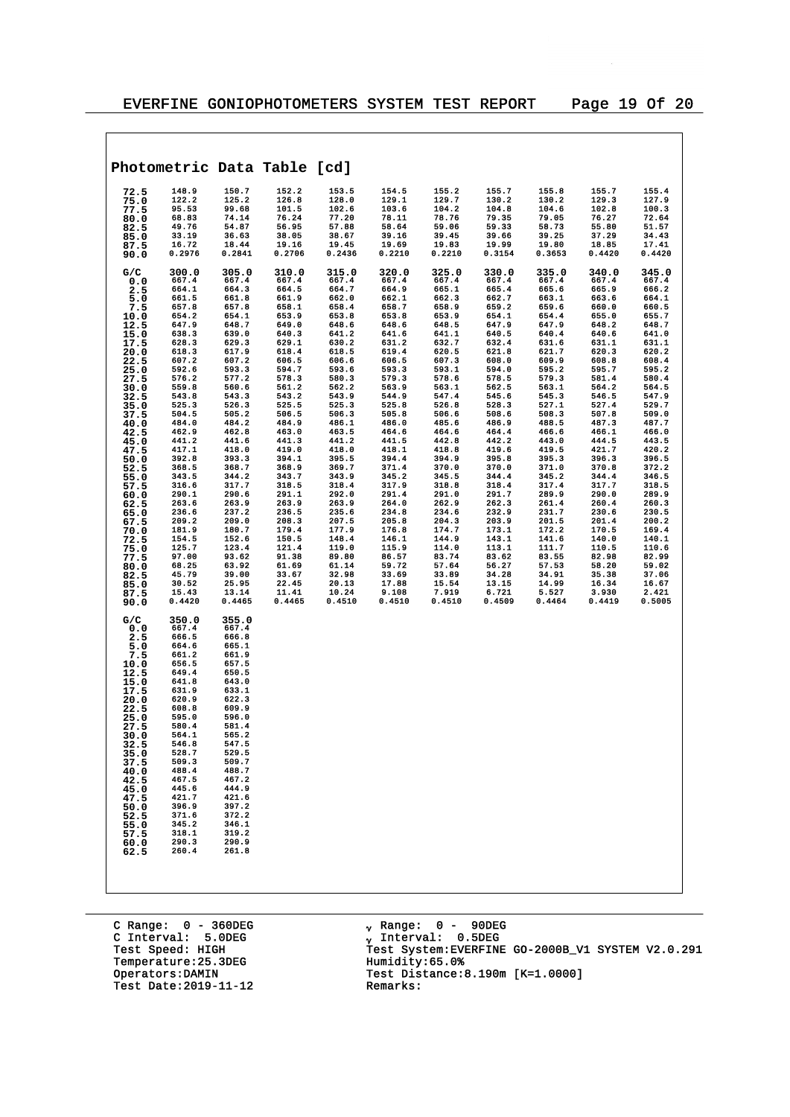$\overline{\phantom{a}}$ 

| Photometric Data Table [cd]                                                                                                                                                                                     |                                                                                                                                                                                                                                                 |                                                                                                                                                                                                                                                 |        |        |        |        |        |        |        |        |
|-----------------------------------------------------------------------------------------------------------------------------------------------------------------------------------------------------------------|-------------------------------------------------------------------------------------------------------------------------------------------------------------------------------------------------------------------------------------------------|-------------------------------------------------------------------------------------------------------------------------------------------------------------------------------------------------------------------------------------------------|--------|--------|--------|--------|--------|--------|--------|--------|
| 72.5                                                                                                                                                                                                            | 148.9                                                                                                                                                                                                                                           | 150.7                                                                                                                                                                                                                                           | 152.2  | 153.5  | 154.5  | 155.2  | 155.7  | 155.8  | 155.7  | 155.4  |
| 75.0                                                                                                                                                                                                            | 122.2                                                                                                                                                                                                                                           | 125.2                                                                                                                                                                                                                                           | 126.8  | 128.0  | 129.1  | 129.7  | 130.2  | 130.2  | 129.3  | 127.9  |
| 77.5                                                                                                                                                                                                            | 95.53                                                                                                                                                                                                                                           | 99.68                                                                                                                                                                                                                                           | 101.5  | 102.6  | 103.6  | 104.2  | 104.8  | 104.6  | 102.8  | 100.3  |
| 80.0                                                                                                                                                                                                            | 68.83                                                                                                                                                                                                                                           | 74.14                                                                                                                                                                                                                                           | 76.24  | 77.20  | 78.11  | 78.76  | 79.35  | 79.05  | 76.27  | 72.64  |
| 82.5                                                                                                                                                                                                            | 49.76                                                                                                                                                                                                                                           | 54.87                                                                                                                                                                                                                                           | 56.95  | 57.88  | 58.64  | 59.06  | 59.33  | 58.73  | 55.80  | 51.57  |
| 85.0                                                                                                                                                                                                            | 33.19                                                                                                                                                                                                                                           | 36.63                                                                                                                                                                                                                                           | 38.05  | 38.67  | 39.16  | 39.45  | 39.66  | 39.25  | 37.29  | 34.43  |
| 87.5                                                                                                                                                                                                            | 16.72                                                                                                                                                                                                                                           | 18.44                                                                                                                                                                                                                                           | 19.16  | 19.45  | 19.69  | 19.83  | 19.99  | 19.80  | 18.85  | 17.41  |
| 90.0                                                                                                                                                                                                            | 0.2976                                                                                                                                                                                                                                          | 0.2841                                                                                                                                                                                                                                          | 0.2706 | 0.2436 | 0.2210 | 0.2210 | 0.3154 | 0.3653 | 0.4420 | 0.4420 |
| G/C                                                                                                                                                                                                             | 300.0                                                                                                                                                                                                                                           | 305.0                                                                                                                                                                                                                                           | 310.0  | 315.0  | 320.0  | 325.0  | 330.0  | 335.0  | 340.0  | 345.0  |
| 0.0                                                                                                                                                                                                             | 667.4                                                                                                                                                                                                                                           | 667.4                                                                                                                                                                                                                                           | 667.4  | 667.4  | 667.4  | 667.4  | 667.4  | 667.4  | 667.4  | 667.4  |
| 2.5                                                                                                                                                                                                             | 664.1                                                                                                                                                                                                                                           | 664.3                                                                                                                                                                                                                                           | 664.5  | 664.7  | 664.9  | 665.1  | 665.4  | 665.6  | 665.9  | 666.2  |
| 5.0                                                                                                                                                                                                             | 661.5                                                                                                                                                                                                                                           | 661.8                                                                                                                                                                                                                                           | 661.9  | 662.0  | 662.1  | 662.3  | 662.7  | 663.1  | 663.6  | 664.1  |
| 7.5                                                                                                                                                                                                             | 657.8                                                                                                                                                                                                                                           | 657.8                                                                                                                                                                                                                                           | 658.1  | 658.4  | 658.7  | 658.9  | 659.2  | 659.6  | 660.0  | 660.5  |
| 10.0                                                                                                                                                                                                            | 654.2                                                                                                                                                                                                                                           | 654.1                                                                                                                                                                                                                                           | 653.9  | 653.8  | 653.8  | 653.9  | 654.1  | 654.4  | 655.0  | 655.7  |
| 12.5                                                                                                                                                                                                            | 647.9                                                                                                                                                                                                                                           | 648.7                                                                                                                                                                                                                                           | 649.0  | 648.6  | 648.6  | 648.5  | 647.9  | 647.9  | 648.2  | 648.7  |
| 15.0                                                                                                                                                                                                            | 638.3                                                                                                                                                                                                                                           | 639.0                                                                                                                                                                                                                                           | 640.3  | 641.2  | 641.6  | 641.1  | 640.5  | 640.4  | 640.6  | 641.0  |
| 17.5                                                                                                                                                                                                            | 628.3                                                                                                                                                                                                                                           | 629.3                                                                                                                                                                                                                                           | 629.1  | 630.2  | 631.2  | 632.7  | 632.4  | 631.6  | 631.1  | 631.1  |
| 20.0                                                                                                                                                                                                            | 618.3                                                                                                                                                                                                                                           | 617.9                                                                                                                                                                                                                                           | 618.4  | 618.5  | 619.4  | 620.5  | 621.8  | 621.7  | 620.3  | 620.2  |
| 22.5                                                                                                                                                                                                            | 607.2                                                                                                                                                                                                                                           | 607.2                                                                                                                                                                                                                                           | 606.5  | 606.6  | 606.5  | 607.3  | 608.0  | 609.9  | 608.8  | 608.4  |
| 25.0                                                                                                                                                                                                            | 592.6                                                                                                                                                                                                                                           | 593.3                                                                                                                                                                                                                                           | 594.7  | 593.6  | 593.3  | 593.1  | 594.0  | 595.2  | 595.7  | 595.2  |
| 27.5                                                                                                                                                                                                            | 576.2                                                                                                                                                                                                                                           | 577.2                                                                                                                                                                                                                                           | 578.3  | 580.3  | 579.3  | 578.6  | 578.5  | 579.3  | 581.4  | 580.4  |
| 30.0                                                                                                                                                                                                            | 559.8                                                                                                                                                                                                                                           | 560.6                                                                                                                                                                                                                                           | 561.2  | 562.2  | 563.9  | 563.1  | 562.5  | 563.1  | 564.2  | 564.5  |
| 32.5                                                                                                                                                                                                            | 543.8                                                                                                                                                                                                                                           | 543.3                                                                                                                                                                                                                                           | 543.2  | 543.9  | 544.9  | 547.4  | 545.6  | 545.3  | 546.5  | 547.9  |
| 35.0                                                                                                                                                                                                            | 525.3                                                                                                                                                                                                                                           | 526.3                                                                                                                                                                                                                                           | 525.5  | 525.3  | 525.8  | 526.8  | 528.3  | 527.1  | 527.4  | 529.7  |
| 37.5                                                                                                                                                                                                            | 504.5                                                                                                                                                                                                                                           | 505.2                                                                                                                                                                                                                                           | 506.5  | 506.3  | 505.8  | 506.6  | 508.6  | 508.3  | 507.8  | 509.0  |
| 40.0                                                                                                                                                                                                            | 484.0                                                                                                                                                                                                                                           | 484.2                                                                                                                                                                                                                                           | 484.9  | 486.1  | 486.0  | 485.6  | 486.9  | 488.5  | 487.3  | 487.7  |
| 42.5                                                                                                                                                                                                            | 462.9                                                                                                                                                                                                                                           | 462.8                                                                                                                                                                                                                                           | 463.0  | 463.5  | 464.6  | 464.6  | 464.4  | 466.6  | 466.1  | 466.0  |
| 45.0                                                                                                                                                                                                            | 441.2                                                                                                                                                                                                                                           | 441.6                                                                                                                                                                                                                                           | 441.3  | 441.2  | 441.5  | 442.8  | 442.2  | 443.0  | 444.5  | 443.5  |
| 47.5                                                                                                                                                                                                            | 417.1                                                                                                                                                                                                                                           | 418.0                                                                                                                                                                                                                                           | 419.0  | 418.0  | 418.1  | 418.8  | 419.6  | 419.5  | 421.7  | 420.2  |
| 50.0                                                                                                                                                                                                            | 392.8                                                                                                                                                                                                                                           | 393.3                                                                                                                                                                                                                                           | 394.1  | 395.5  | 394.4  | 394.9  | 395.8  | 395.3  | 396.3  | 396.5  |
| 52.5                                                                                                                                                                                                            | 368.5                                                                                                                                                                                                                                           | 368.7                                                                                                                                                                                                                                           | 368.9  | 369.7  | 371.4  | 370.0  | 370.0  | 371.0  | 370.8  | 372.2  |
| 55.0                                                                                                                                                                                                            | 343.5                                                                                                                                                                                                                                           | 344.2                                                                                                                                                                                                                                           | 343.7  | 343.9  | 345.2  | 345.5  | 344.4  | 345.2  | 344.4  | 346.5  |
| 57.5                                                                                                                                                                                                            | 316.6                                                                                                                                                                                                                                           | 317.7                                                                                                                                                                                                                                           | 318.5  | 318.4  | 317.9  | 318.8  | 318.4  | 317.4  | 317.7  | 318.5  |
| 60.0                                                                                                                                                                                                            | 290.1                                                                                                                                                                                                                                           | 290.6                                                                                                                                                                                                                                           | 291.1  | 292.0  | 291.4  | 291.0  | 291.7  | 289.9  | 290.0  | 289.9  |
| 62.5                                                                                                                                                                                                            | 263.6                                                                                                                                                                                                                                           | 263.9                                                                                                                                                                                                                                           | 263.9  | 263.9  | 264.0  | 262.9  | 262.3  | 261.4  | 260.4  | 260.3  |
| 65.0                                                                                                                                                                                                            | 236.6                                                                                                                                                                                                                                           | 237.2                                                                                                                                                                                                                                           | 236.5  | 235.6  | 234.8  | 234.6  | 232.9  | 231.7  | 230.6  | 230.5  |
| 67.5                                                                                                                                                                                                            | 209.2                                                                                                                                                                                                                                           | 209.0                                                                                                                                                                                                                                           | 208.3  | 207.5  | 205.8  | 204.3  | 203.9  | 201.5  | 201.4  | 200.2  |
| 70.0                                                                                                                                                                                                            | 181.9                                                                                                                                                                                                                                           | 180.7                                                                                                                                                                                                                                           | 179.4  | 177.9  | 176.8  | 174.7  | 173.1  | 172.2  | 170.5  | 169.4  |
| 72.5                                                                                                                                                                                                            | 154.5                                                                                                                                                                                                                                           | 152.6                                                                                                                                                                                                                                           | 150.5  | 148.4  | 146.1  | 144.9  | 143.1  | 141.6  | 140.0  | 140.1  |
| 75.0                                                                                                                                                                                                            | 125.7                                                                                                                                                                                                                                           | 123.4                                                                                                                                                                                                                                           | 121.4  | 119.0  | 115.9  | 114.0  | 113.1  | 111.7  | 110.5  | 110.6  |
| 77.5                                                                                                                                                                                                            | 97.00                                                                                                                                                                                                                                           | 93.62                                                                                                                                                                                                                                           | 91.38  | 89.80  | 86.57  | 83.74  | 83.62  | 83.55  | 82.98  | 82.99  |
| 80.0                                                                                                                                                                                                            | 68.25                                                                                                                                                                                                                                           | 63.92                                                                                                                                                                                                                                           | 61.69  | 61.14  | 59.72  | 57.64  | 56.27  | 57.53  | 58.20  | 59.02  |
| 82.5                                                                                                                                                                                                            | 45.79                                                                                                                                                                                                                                           | 39.00                                                                                                                                                                                                                                           | 33.67  | 32.98  | 33.69  | 33.89  | 34.28  | 34.91  | 35.38  | 37.06  |
| 85.0                                                                                                                                                                                                            | 30.52                                                                                                                                                                                                                                           | 25.95                                                                                                                                                                                                                                           | 22.45  | 20.13  | 17.88  | 15.54  | 13.15  | 14.99  | 16.34  | 16.67  |
| 87.5                                                                                                                                                                                                            | 15.43                                                                                                                                                                                                                                           | 13.14                                                                                                                                                                                                                                           | 11.41  | 10.24  | 9.108  | 7.919  | 6.721  | 5.527  | 3.930  | 2.421  |
| 90.0                                                                                                                                                                                                            | 0.4420                                                                                                                                                                                                                                          | 0.4465                                                                                                                                                                                                                                          | 0.4465 | 0.4510 | 0.4510 | 0.4510 | 0.4509 | 0.4464 | 0.4419 | 0.5005 |
| G/C<br>0.0<br>2.5<br>5.0<br>7.5<br>10.0<br>12.5<br>15.0<br>17.5<br>20.0<br>22.5<br>25.0<br>27.5<br>30.0<br>32.5<br>35.0<br>37.5<br>40.0<br>42.5<br>45.0<br>47.5<br>50.0<br>52.5<br>55.0<br>57.5<br>60.0<br>62.5 | 350.0<br>667.4<br>666.5<br>664.6<br>661.2<br>656.5<br>649.4<br>641.8<br>631.9<br>620.9<br>608.8<br>595.0<br>580.4<br>564.1<br>546.8<br>528.7<br>509.3<br>488.4<br>467.5<br>445.6<br>421.7<br>396.9<br>371.6<br>345.2<br>318.1<br>290.3<br>260.4 | 355.0<br>667.4<br>666.8<br>665.1<br>661.9<br>657.5<br>650.5<br>643.0<br>633.1<br>622.3<br>609.9<br>596.0<br>581.4<br>565.2<br>547.5<br>529.5<br>509.7<br>488.7<br>467.2<br>444.9<br>421.6<br>397.2<br>372.2<br>346.1<br>319.2<br>290.9<br>261.8 |        |        |        |        |        |        |        |        |

C Range: 0 - 360DEG C Interval: 5.0DEG Test Speed: HIGH<br>Temperature:25.3DEG<br>Operators:DAMIN Test Date:  $2019-11-12$